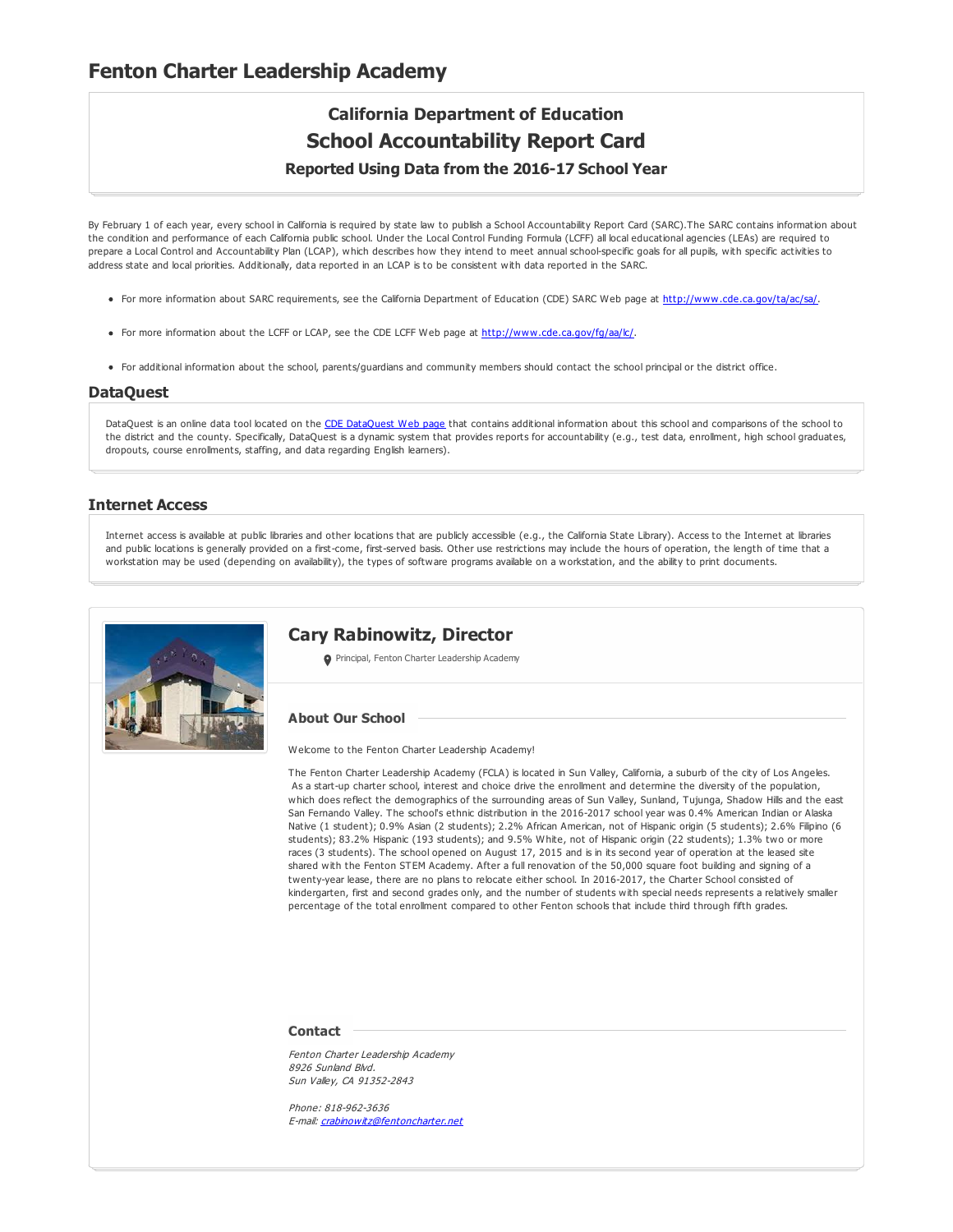# Fenton Charter Leadership Academy

# **California Department of Education School Accountability Report Card** Reported Using Data from the 2016-17 School Year

By February 1 of each year, every school in California is required by state law to publish a School Accountability Report Card (SARC).The SARC contains information about the condition and performance of each California public school. Under the Local Control Funding Formula (LCFF) all local educational agencies (LEAs) are required to prepare a Local Control and Accountability Plan (LCAP), which describes how they intend to meet annual school-specific goals for all pupils, with specific activities to address state and local priorities. Additionally, data reported in an LCAP is to be consistent with data reported in the SARC.

- For more information about SARC requirements, see the California Department of Education (CDE) SARC Web page at <http://www.cde.ca.gov/ta/ac/sa/>.
- For more information about the LCFF or LCAP, see the CDE LCFF Web page at <http://www.cde.ca.gov/fg/aa/lc/>.
- For additional information about the school, parents/guardians and community members should contact the school principal or the district office.

## DataQuest

[DataQuest](http://dq.cde.ca.gov/dataquest/) is an online data tool located on the CDE DataQuest Web page that contains additional information about this school and comparisons of the school to the district and the county. Specifically, DataQuest is a dynamic system that provides reports for accountability (e.g., test data, enrollment, high school graduates, dropouts, course enrollments, staffing, and data regarding English learners).

## **Internet Access**

Internet access is available at public libraries and other locations that are publicly accessible (e.g., the California State Library). Access to the Internet at libraries and public locations is generally provided on a first-come, first-served basis. Other use restrictions may include the hours of operation, the length of time that a workstation may be used (depending on availability), the types of software programs available on a workstation, and the ability to print documents.



# **Cary Rabinowitz, Director**

Principal, Fenton Charter Leadership Academy

### **About Our School**

Welcome to the Fenton Charter Leadership Academy!

The Fenton Charter Leadership Academy (FCLA) is located in Sun Valley, California, a suburb of the city of Los Angeles. As a start-up charter school, interest and choice drive the enrollment and determine the diversity of the population, which does reflect the demographics of the surrounding areas of Sun Valley, Sunland, Tujunga, Shadow Hills and the east San Fernando Valley. The school's ethnic distribution in the 2016-2017 school year was 0.4% American Indian or Alaska Native (1 student); 0.9% Asian (2 students); 2.2% African American, not of Hispanic origin (5 students); 2.6% Filipino (6 students); 83.2% Hispanic (193 students); and 9.5% White, not of Hispanic origin (22 students); 1.3% two or more races (3 students). The school opened on August 17, 2015 and is in its second year of operation at the leased site shared with the Fenton STEM Academy. After a full renovation of the 50,000 square foot building and signing of a twenty-year lease, there are no plans to relocate either school. In 2016-2017, the Charter School consisted of kindergarten, first and second grades only, and the number of students with special needs represents a relatively smaller percentage of the total enrollment compared to other Fenton schools that include third through fifth grades.

#### **Contact**

Fenton Charter Leadership Academy 8926 Sunland Blvd. Sun Valley, CA 91352-2843

Phone: 818-962-3636 E-mail: [crabinowitz@fentoncharter.net](mailto:crabinowitz@fentoncharter.net)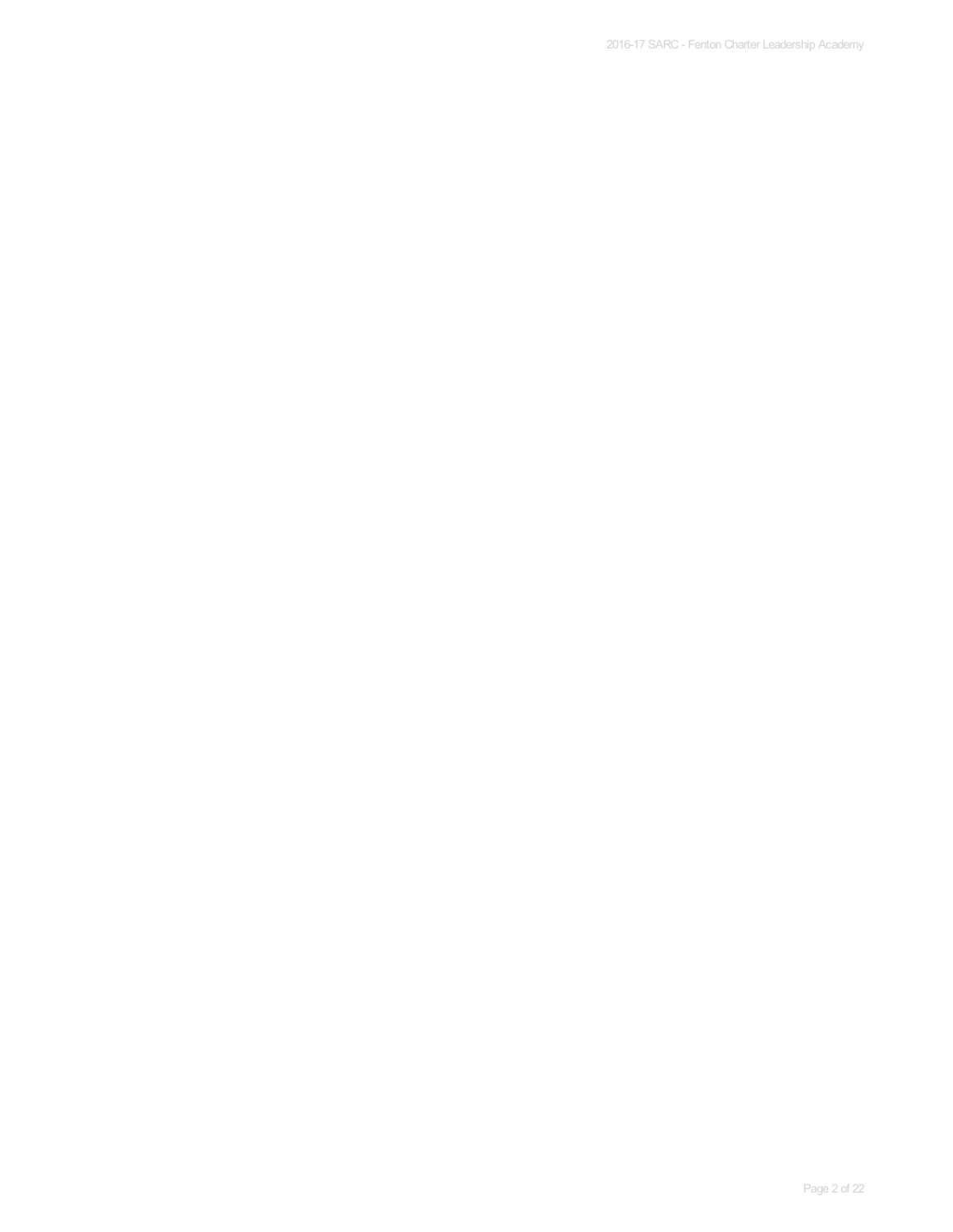2016-17 SARC - Fenton Charter Leadership Academy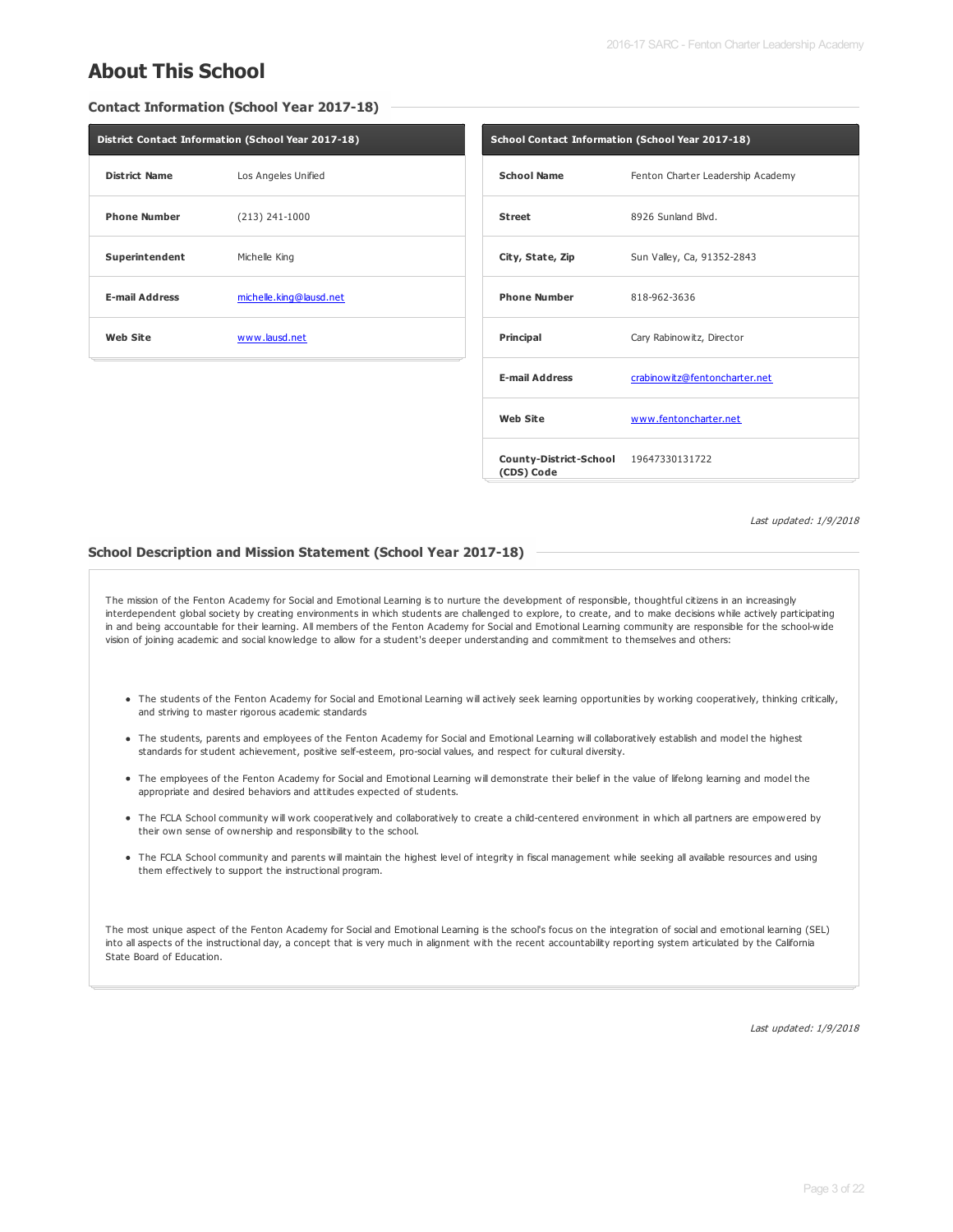# **About This School**

**Contact Information (School Year 2017-18)** 

| District Contact Information (School Year 2017-18) |                         | School Contact Information (School Year 2017-18) |                                   |  |
|----------------------------------------------------|-------------------------|--------------------------------------------------|-----------------------------------|--|
| <b>District Name</b>                               | Los Angeles Unified     | <b>School Name</b>                               | Fenton Charter Leadership Academy |  |
| <b>Phone Number</b>                                | $(213)$ 241-1000        | <b>Street</b>                                    | 8926 Sunland Blvd.                |  |
| Superintendent                                     | Michelle King           | City, State, Zip                                 | Sun Valley, Ca, 91352-2843        |  |
| <b>E-mail Address</b>                              | michelle.king@lausd.net | <b>Phone Number</b>                              | 818-962-3636                      |  |
| <b>Web Site</b>                                    | www.lausd.net           | Principal                                        | Cary Rabinowitz, Director         |  |
|                                                    |                         | <b>E-mail Address</b>                            | crabinowitz@fentoncharter.net     |  |
|                                                    |                         | <b>Web Site</b>                                  | www.fentoncharter.net             |  |
|                                                    |                         |                                                  |                                   |  |

**\$ \$** 19647330131722

(CDS) Code

Last updated: 1/9/2018

#### **School Description and Mission Statement (School Year 2017-18)**

The mission of the Fenton Academy for Social and Emotional Learning is to nurture the development of responsible, thoughtful citizens in an increasingly interdependent global society by creating environments in which students are challenged to explore, to create, and to make decisions while actively participating in and being accountable for their learning. All members of the Fenton Academy for Social and Emotional Learning community are responsible for the school-wide vision of joining academic and social knowledge to allow for a student's deeper understanding and commitment to themselves and others: The students of the Fenton Academy for Social and Emotional Learning will actively seek learning opportunities by working cooperatively, thinking critically, and striving to master rigorous academic standards The students, parents and employees of the Fenton Academy for Social and Emotional Learning will collaboratively establish and model the highest standards for student achievement, positive self-esteem, pro-social values, and respect for cultural diversity. The employees of the Fenton Academy for Social and Emotional Learning will demonstrate their belief in the value of lifelong learning and model the appropriate and desired behaviors and attitudes expected of students. The FCLA School community will work cooperatively and collaboratively to create a child-centered environment in which all partners are empowered by their own sense of ownership and responsibility to the school. The FCLA School community and parents will maintain the highest level of integrity in fiscal management while seeking all available resources and using them effectively to support the instructional program. The most unique aspect of the Fenton Academy for Social and Emotional Learning is the school's focus on the integration of social and emotional learning (SEL) into all aspects of the instructional day, a concept that is very much in alignment with the recent accountability reporting system articulated by the California State Board of Education.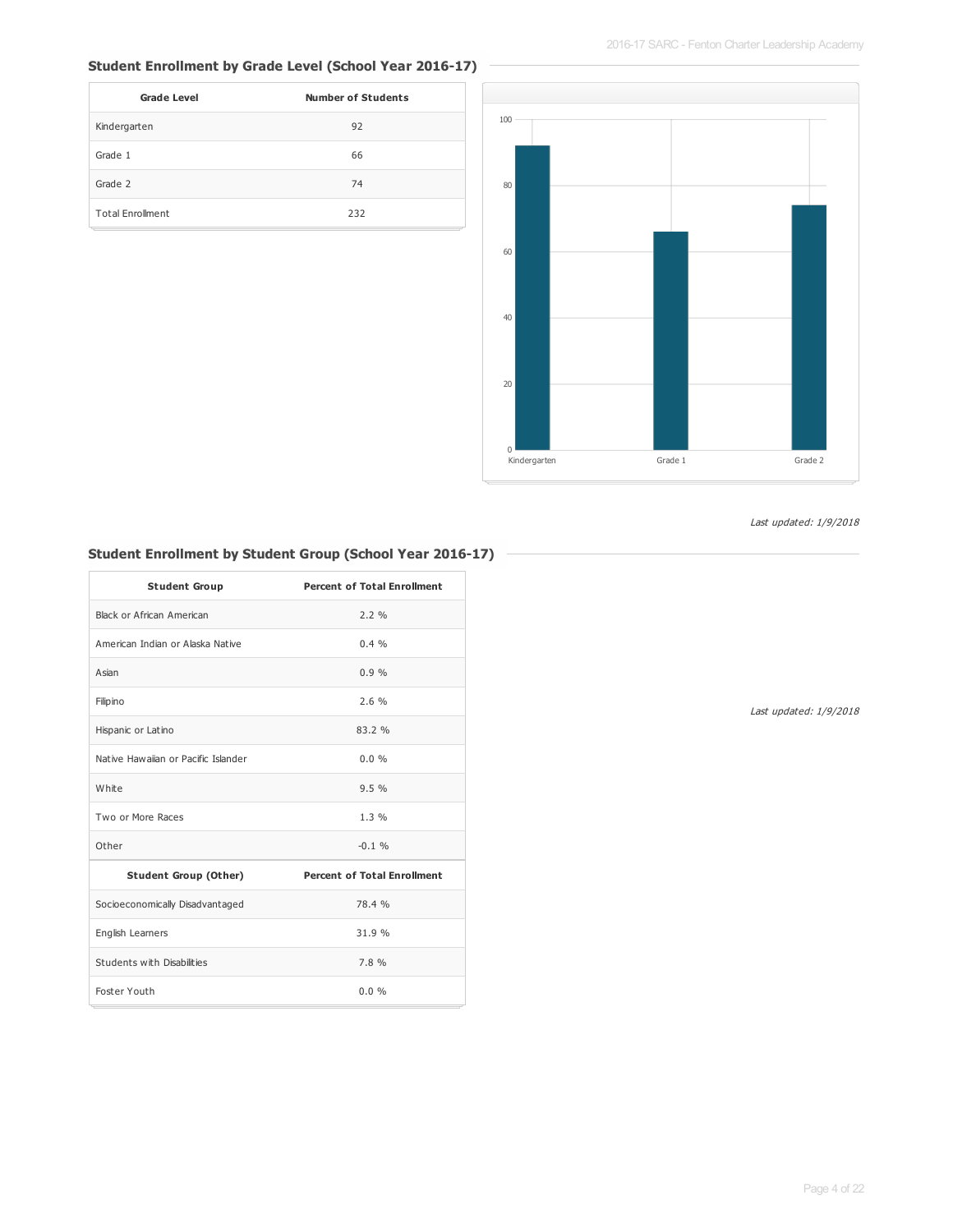# **Student Enrollment by Grade Level (School Year 2016-17)**

| <b>Grade Level</b>      | <b>Number of Students</b> |
|-------------------------|---------------------------|
| Kindergarten            | 92                        |
| Grade 1                 | 66                        |
| Grade 2                 | 74                        |
| <b>Total Enrollment</b> | 232                       |



Last updated: 1/9/2018

#### **Student Enrollment by Student Group (School Year 2016-17)**

| <b>Student Group</b>                | <b>Percent of Total Enrollment</b> |
|-------------------------------------|------------------------------------|
| Black or African American           | 2.2 %                              |
| American Indian or Alaska Native    | 0.4%                               |
| Asian                               | 0.9%                               |
| Filipino                            | 2.6%                               |
| Hispanic or Latino                  | 83.2 %                             |
| Native Hawaiian or Pacific Islander | 0.0%                               |
| White                               | 9.5%                               |
| Two or More Races                   | 1.3%                               |
| Other                               | $-0.1 \%$                          |
| <b>Student Group (Other)</b>        | <b>Percent of Total Enrollment</b> |
| Socioeconomically Disadvantaged     | 78.4 %                             |
| English Learners                    | 31.9 %                             |
| Students with Disabilities          | 7.8 %                              |
| Foster Youth                        | $0.0\%$                            |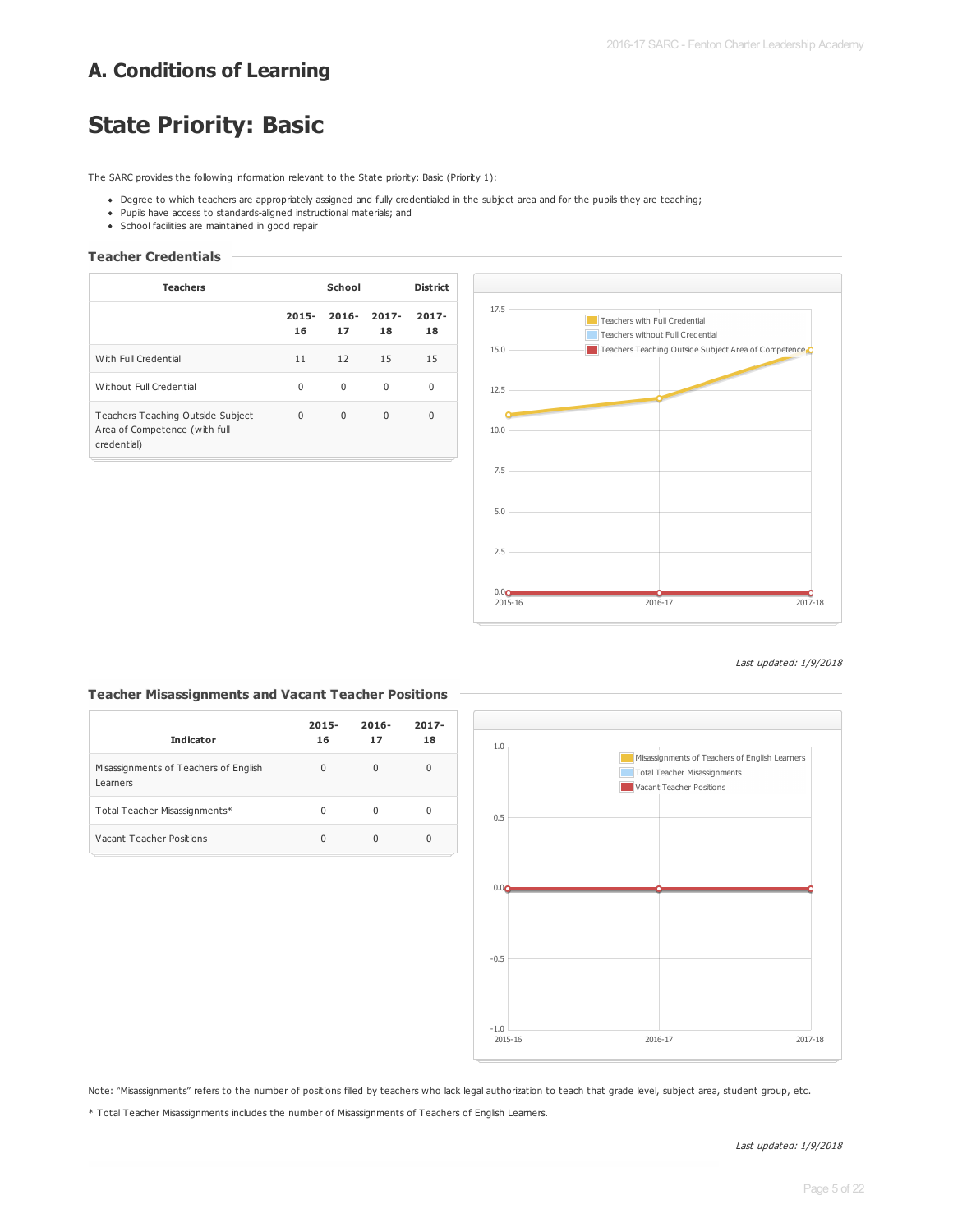# **A. Conditions of Learning**

# **State Priority: Basic**

The SARC provides the following information relevant to the State priority: Basic (Priority 1):

- Degree to which teachers are appropriately assigned and fully credentialed in the subject area and for the pupils they are teaching;
- Pupils have access to standards-aligned instructional materials; and
- School facilities are maintained in good repair

#### **Teacher Credentials**

| <b>Teachers</b>                                                                   | School         |                |                | <b>District</b> |
|-----------------------------------------------------------------------------------|----------------|----------------|----------------|-----------------|
|                                                                                   | $2015 -$<br>16 | $2016 -$<br>17 | $2017 -$<br>18 | $2017 -$<br>18  |
| With Full Credential                                                              | 11             | 12             | 15             | 15              |
| Without Full Credential                                                           | $\Omega$       | $\Omega$       | 0              | $\Omega$        |
| Teachers Teaching Outside Subject<br>Area of Competence (with full<br>credential) | $\Omega$       | $\Omega$       | 0              | $\Omega$        |



Last updated: 1/9/2018

#### **Teacher Misassignments and Vacant Teacher Positions**

| <b>Indicator</b>                                  | $2015 -$<br>16 | $2016 -$<br>17 | $2017 -$<br>18 |
|---------------------------------------------------|----------------|----------------|----------------|
| Misassignments of Teachers of English<br>Learners | 0              | 0              | 0              |
| Total Teacher Misassignments*                     | 0              | 0              | O              |
| Vacant Teacher Positions                          | U              | 0              | O              |



Note: "Misassignments" refers to the number of positions filled by teachers who lack legal authorization to teach that grade level, subject area, student group, etc.

\* Total Teacher Misassignments includes the number of Misassignments of Teachers of English Learners.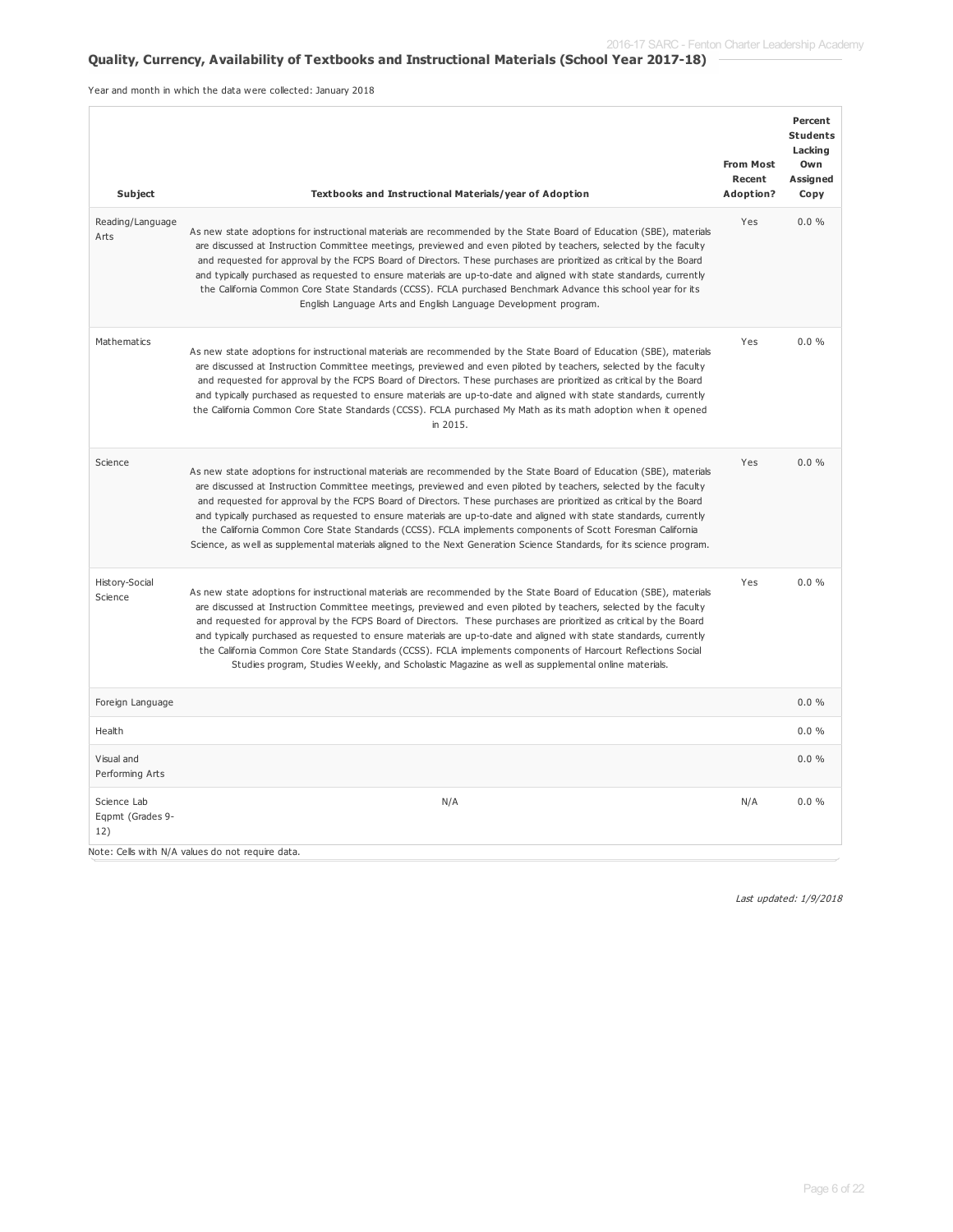## Quality, Currency, Availability of Textbooks and Instructional Materials (School Year 2017-18)

Year and month in which the data were collected: January 2018

| <b>Subject</b>                         | Textbooks and Instructional Materials/year of Adoption                                                                                                                                                                                                                                                                                                                                                                                                                                                                                                                                                                                                                                                                       | <b>From Most</b><br>Recent<br>Adoption? | Percent<br><b>Students</b><br>Lacking<br>Own<br>Assigned<br>Copy |
|----------------------------------------|------------------------------------------------------------------------------------------------------------------------------------------------------------------------------------------------------------------------------------------------------------------------------------------------------------------------------------------------------------------------------------------------------------------------------------------------------------------------------------------------------------------------------------------------------------------------------------------------------------------------------------------------------------------------------------------------------------------------------|-----------------------------------------|------------------------------------------------------------------|
| Reading/Language<br>Arts               | As new state adoptions for instructional materials are recommended by the State Board of Education (SBE), materials<br>are discussed at Instruction Committee meetings, previewed and even piloted by teachers, selected by the faculty<br>and requested for approval by the FCPS Board of Directors. These purchases are prioritized as critical by the Board<br>and typically purchased as requested to ensure materials are up-to-date and aligned with state standards, currently<br>the California Common Core State Standards (CCSS). FCLA purchased Benchmark Advance this school year for its<br>English Language Arts and English Language Development program.                                                     | Yes                                     | 0.0%                                                             |
| Mathematics                            | As new state adoptions for instructional materials are recommended by the State Board of Education (SBE), materials<br>are discussed at Instruction Committee meetings, previewed and even piloted by teachers, selected by the faculty<br>and requested for approval by the FCPS Board of Directors. These purchases are prioritized as critical by the Board<br>and typically purchased as requested to ensure materials are up-to-date and aligned with state standards, currently<br>the California Common Core State Standards (CCSS). FCLA purchased My Math as its math adoption when it opened<br>in 2015.                                                                                                           | Yes                                     | 0.0%                                                             |
| Science                                | As new state adoptions for instructional materials are recommended by the State Board of Education (SBE), materials<br>are discussed at Instruction Committee meetings, previewed and even piloted by teachers, selected by the faculty<br>and requested for approval by the FCPS Board of Directors. These purchases are prioritized as critical by the Board<br>and typically purchased as requested to ensure materials are up-to-date and aligned with state standards, currently<br>the California Common Core State Standards (CCSS). FCLA implements components of Scott Foresman California<br>Science, as well as supplemental materials aligned to the Next Generation Science Standards, for its science program. | Yes                                     | 0.0%                                                             |
| History-Social<br>Science              | As new state adoptions for instructional materials are recommended by the State Board of Education (SBE), materials<br>are discussed at Instruction Committee meetings, previewed and even piloted by teachers, selected by the faculty<br>and requested for approval by the FCPS Board of Directors. These purchases are prioritized as critical by the Board<br>and typically purchased as requested to ensure materials are up-to-date and aligned with state standards, currently<br>the California Common Core State Standards (CCSS). FCLA implements components of Harcourt Reflections Social<br>Studies program, Studies Weekly, and Scholastic Magazine as well as supplemental online materials.                  | Yes                                     | 0.0%                                                             |
| Foreign Language                       |                                                                                                                                                                                                                                                                                                                                                                                                                                                                                                                                                                                                                                                                                                                              |                                         | 0.0%                                                             |
| Health                                 |                                                                                                                                                                                                                                                                                                                                                                                                                                                                                                                                                                                                                                                                                                                              |                                         | 0.0%                                                             |
| Visual and<br>Performing Arts          |                                                                                                                                                                                                                                                                                                                                                                                                                                                                                                                                                                                                                                                                                                                              |                                         | 0.0%                                                             |
| Science Lab<br>Eqpmt (Grades 9-<br>12) | N/A<br>Note: Cells with N/A values do not require data.                                                                                                                                                                                                                                                                                                                                                                                                                                                                                                                                                                                                                                                                      | N/A                                     | 0.0%                                                             |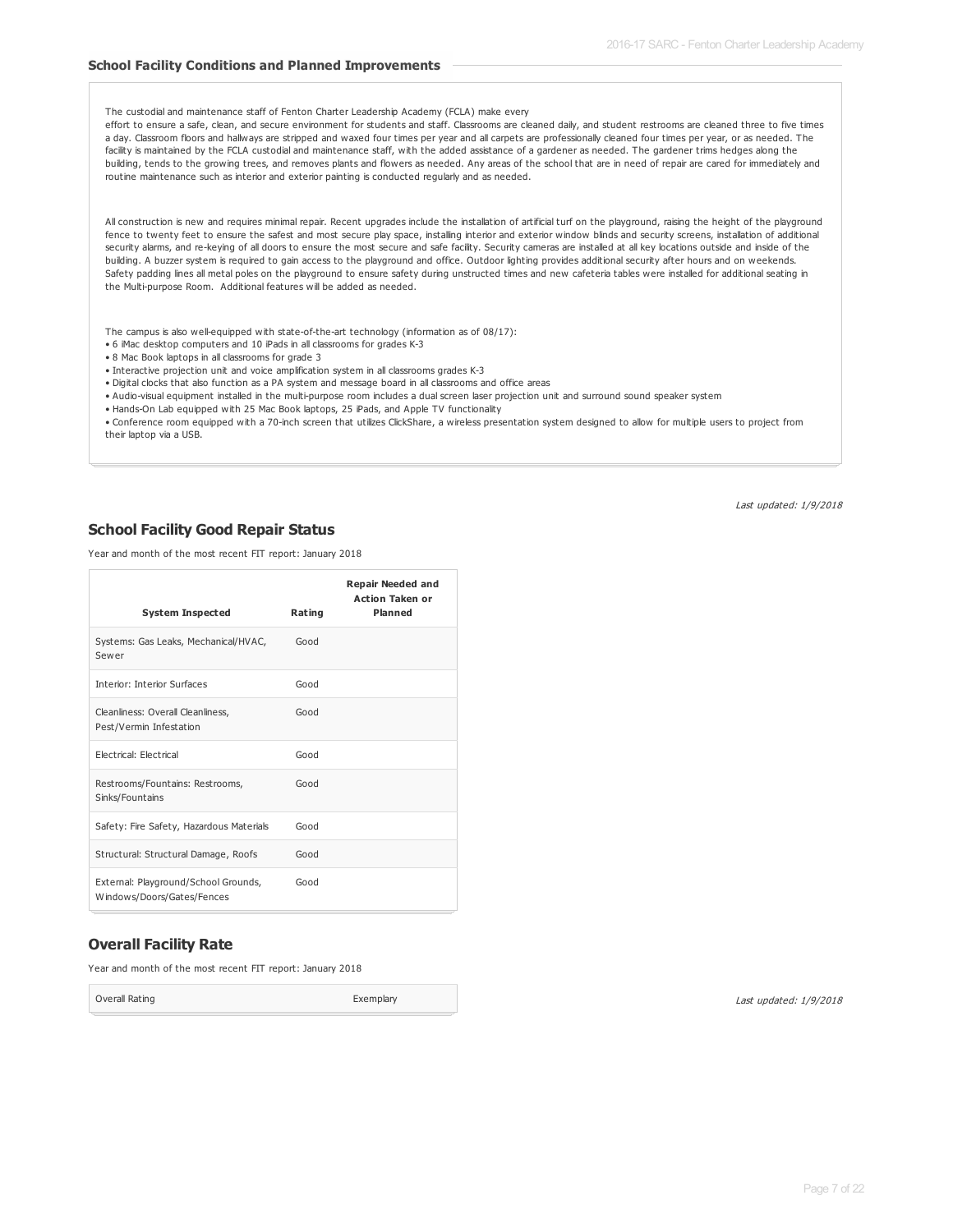#### **School Facility Conditions and Planned Improvements**

The custodial and maintenance staff of Fenton Charter Leadership Academy (FCLA) make every effort to ensure a safe, clean, and secure environment for students and staff. Classrooms are cleaned daily, and student restrooms are cleaned three to five times a day. Classroom floors and hallways are stripped and waxed four times per year and all carpets are professionally cleaned four times per year, or as needed. The facility is maintained by the FCLA custodial and maintenance staff, with the added assistance of a gardener as needed. The gardener trims hedges along the building, tends to the growing trees, and removes plants and flowers as needed. Any areas of the school that are in need of repair are cared for immediately and routine maintenance such as interior and exterior painting is conducted regularly and as needed.

All construction is new and requires minimal repair. Recent upgrades include the installation of artificial turf on the playground, raising the height of the playground fence to twenty feet to ensure the safest and most secure play space, installing interior and exterior window blinds and security screens, installation of additional security alarms, and re-keying of all doors to ensure the most secure and safe facility. Security cameras are installed at all key locations outside and inside of the building. A buzzer system is required to gain access to the playground and office. Outdoor lighting provides additional security after hours and on weekends. Safety padding lines all metal poles on the playground to ensure safety during unstructed times and new cafeteria tables were installed for additional seating in the Multi-purpose Room. Additional features will be added as needed.

- The campus is also well-equipped with state-of-the-art technology (information as of 08/17):
- 6 iMac desktop computers and 10 iPads in all classrooms for grades K-3
- 8 Mac Book laptops in all classrooms for grade 3
- Interactive projection unit and voice amplification system in all classrooms grades K-3
- Digital clocks that also function as a PA system and message board in all classrooms and office areas
- Audio-visual equipment installed in the multi-purpose room includes a dual screen laser projection unit and surround sound speaker system
- Hands-On Lab equipped with 25 Mac Book laptops, 25 iPads, and Apple TV functionality

• Conference room equipped with a 70-inch screen that utilizes ClickShare, a wireless presentation system designed to allow for multiple users to project from their laptop via a USB.

Last updated: 1/9/2018

## **School Facility Good Repair Status**

Year and month of the most recent FIT report: January 2018

| <b>System Inspected</b>                                            | Rating | <b>Repair Needed and</b><br><b>Action Taken or</b><br><b>Planned</b> |
|--------------------------------------------------------------------|--------|----------------------------------------------------------------------|
|                                                                    |        |                                                                      |
| Systems: Gas Leaks, Mechanical/HVAC,<br>Sewer                      | Good   |                                                                      |
| Interior: Interior Surfaces                                        | Good   |                                                                      |
| Cleanliness: Overall Cleanliness,<br>Pest/Vermin Infestation       | Good   |                                                                      |
| Electrical: Electrical                                             | Good   |                                                                      |
| Restrooms/Fountains: Restrooms,<br>Sinks/Fountains                 | Good   |                                                                      |
| Safety: Fire Safety, Hazardous Materials                           | Good   |                                                                      |
| Structural: Structural Damage, Roofs                               | Good   |                                                                      |
| External: Playground/School Grounds,<br>Windows/Doors/Gates/Fences | Good   |                                                                      |

## **Overall Facility Rate**

Year and month of the most recent FIT report: January 2018

Overall Rating **Exemplary**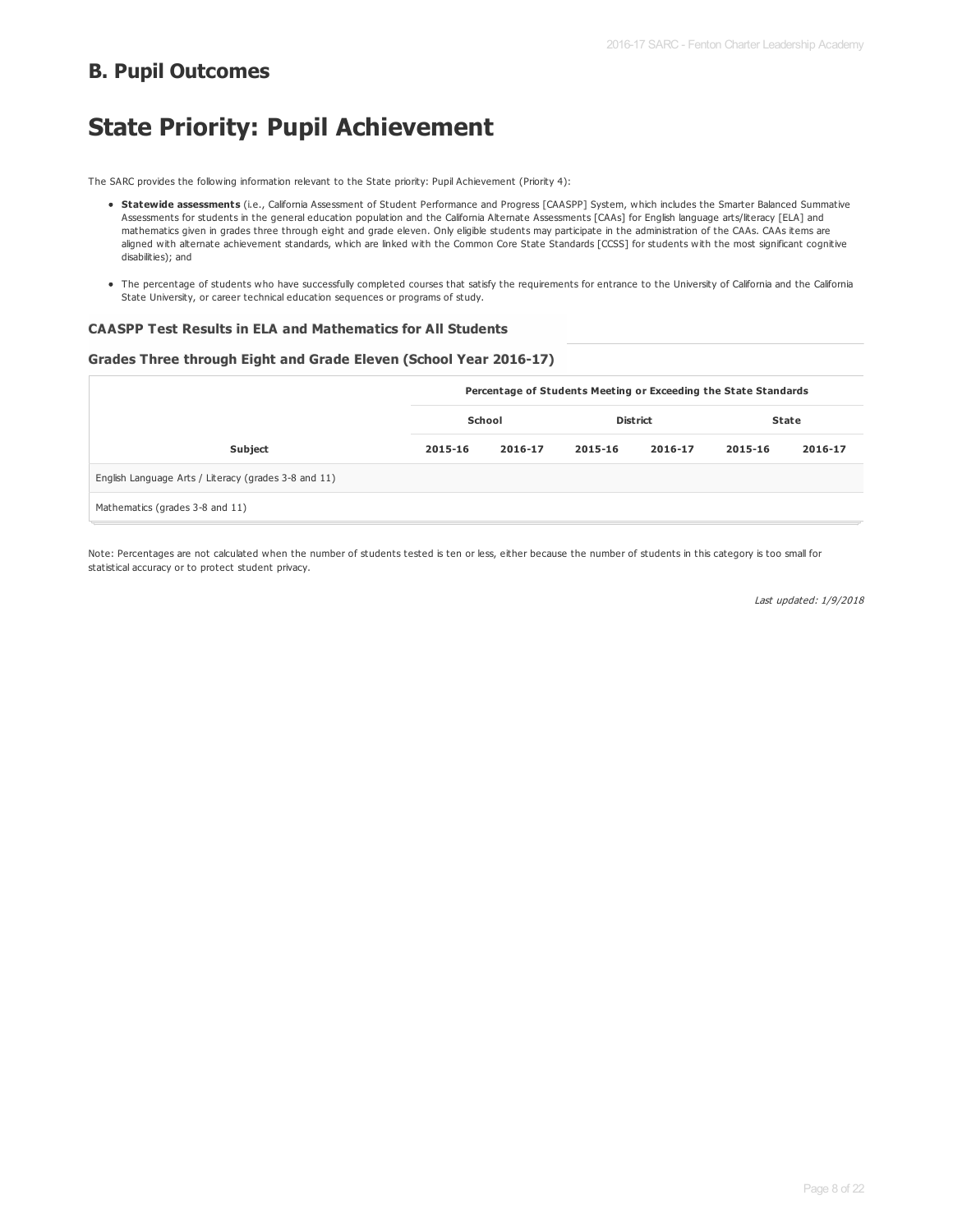# **B. Pupil Outcomes**

# **State Priority: Pupil Achievement**

The SARC provides the following information relevant to the State priority: Pupil Achievement (Priority 4):

- Statewide assessments (i.e., California Assessment of Student Performance and Progress [CAASPP] System, which includes the Smarter Balanced Summative Assessments for students in the general education population and the California Alternate Assessments [CAAs] for English language arts/literacy [ELA] and mathematics given in grades three through eight and grade eleven. Only eligible students may participate in the administration of the CAAs. CAAs items are aligned with alternate achievement standards, which are linked with the Common Core State Standards [CCSS] for students with the most significant cognitive disabilities); and
- The percentage of students who have successfully completed courses that satisfy the requirements for entrance to the University of California and the California State University, or career technical education sequences or programs of study.

#### **CAASPP Test Results in ELA and Mathematics for All Students**

#### Grades Three through Eight and Grade Eleven (School Year 2016-17)

|                                                      |         | Percentage of Students Meeting or Exceeding the State Standards |         |                 |         |              |  |
|------------------------------------------------------|---------|-----------------------------------------------------------------|---------|-----------------|---------|--------------|--|
|                                                      |         | School                                                          |         | <b>District</b> |         | <b>State</b> |  |
| Subject                                              | 2015-16 | 2016-17                                                         | 2015-16 | 2016-17         | 2015-16 | 2016-17      |  |
| English Language Arts / Literacy (grades 3-8 and 11) |         |                                                                 |         |                 |         |              |  |
| Mathematics (grades 3-8 and 11)                      |         |                                                                 |         |                 |         |              |  |

Note: Percentages are not calculated when the number of students tested is ten or less, either because the number of students in this category is too small for statistical accuracy or to protect student privacy.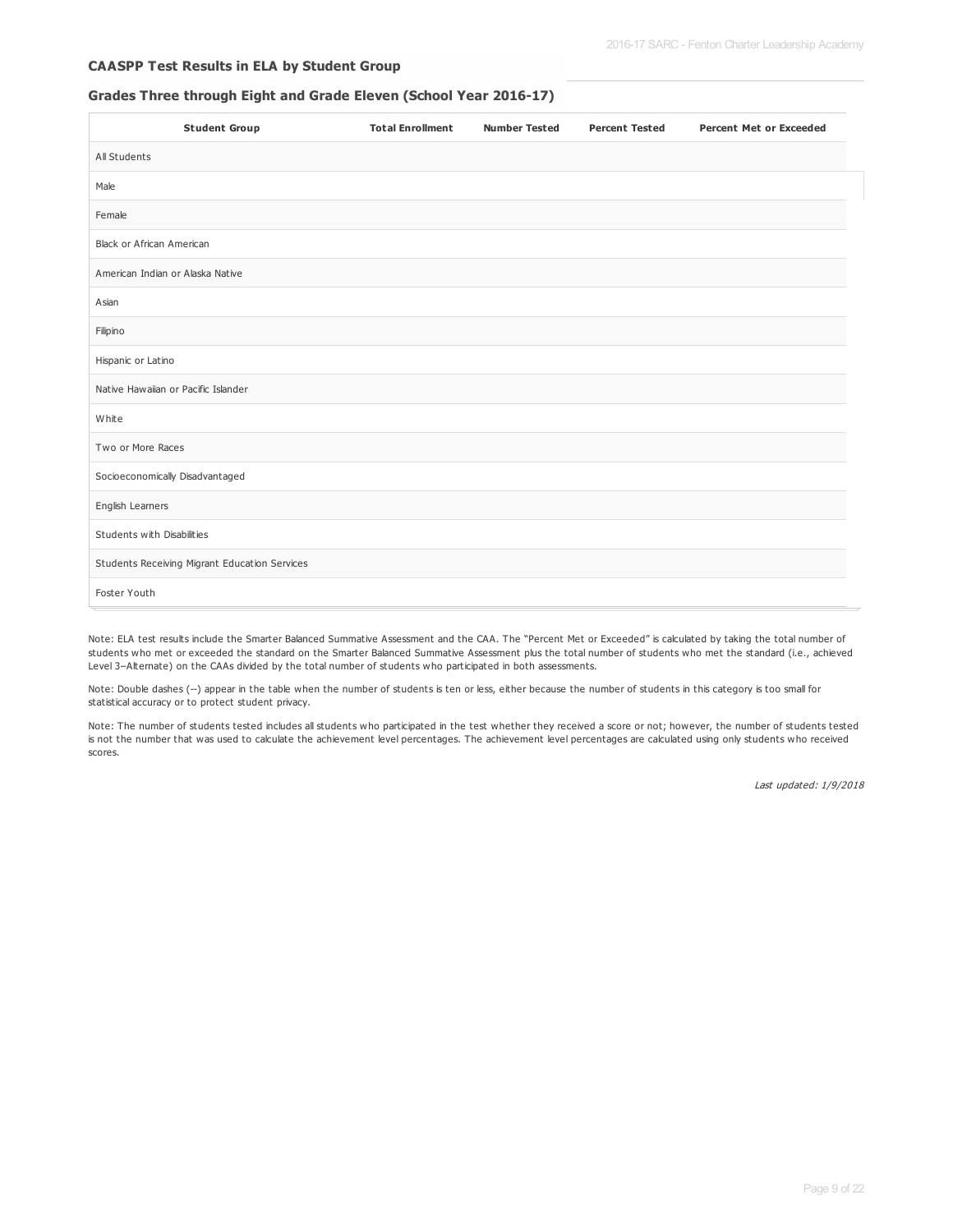#### **CAASPP Test Results in ELA by Student Group**

#### Grades Three through Eight and Grade Eleven (School Year 2016-17)

| <b>Student Group</b>                          | <b>Total Enrollment</b> | <b>Number Tested</b> | <b>Percent Tested</b> | <b>Percent Met or Exceeded</b> |
|-----------------------------------------------|-------------------------|----------------------|-----------------------|--------------------------------|
| All Students                                  |                         |                      |                       |                                |
| Male                                          |                         |                      |                       |                                |
| Female                                        |                         |                      |                       |                                |
| Black or African American                     |                         |                      |                       |                                |
| American Indian or Alaska Native              |                         |                      |                       |                                |
| Asian                                         |                         |                      |                       |                                |
| Filipino                                      |                         |                      |                       |                                |
| Hispanic or Latino                            |                         |                      |                       |                                |
| Native Hawaiian or Pacific Islander           |                         |                      |                       |                                |
| White                                         |                         |                      |                       |                                |
| Two or More Races                             |                         |                      |                       |                                |
| Socioeconomically Disadvantaged               |                         |                      |                       |                                |
| English Learners                              |                         |                      |                       |                                |
| Students with Disabilities                    |                         |                      |                       |                                |
| Students Receiving Migrant Education Services |                         |                      |                       |                                |
| Foster Youth                                  |                         |                      |                       |                                |

Note: ELA test results include the Smarter Balanced Summative Assessment and the CAA. The "Percent Met or Exceeded" is calculated by taking the total number of students who met or exceeded the standard on the Smarter Balanced Summative Assessment plus the total number of students who met the standard (i.e., achieved Level 3–Alternate) on the CAAs divided by the total number of students who participated in both assessments.

Note: Double dashes (--) appear in the table when the number of students is ten or less, either because the number of students in this category is too small for statistical accuracy or to protect student privacy.

Note: The number of students tested includes all students who participated in the test whether they received a score or not; however, the number of students tested is not the number that was used to calculate the achievement level percentages. The achievement level percentages are calculated using only students who received scores.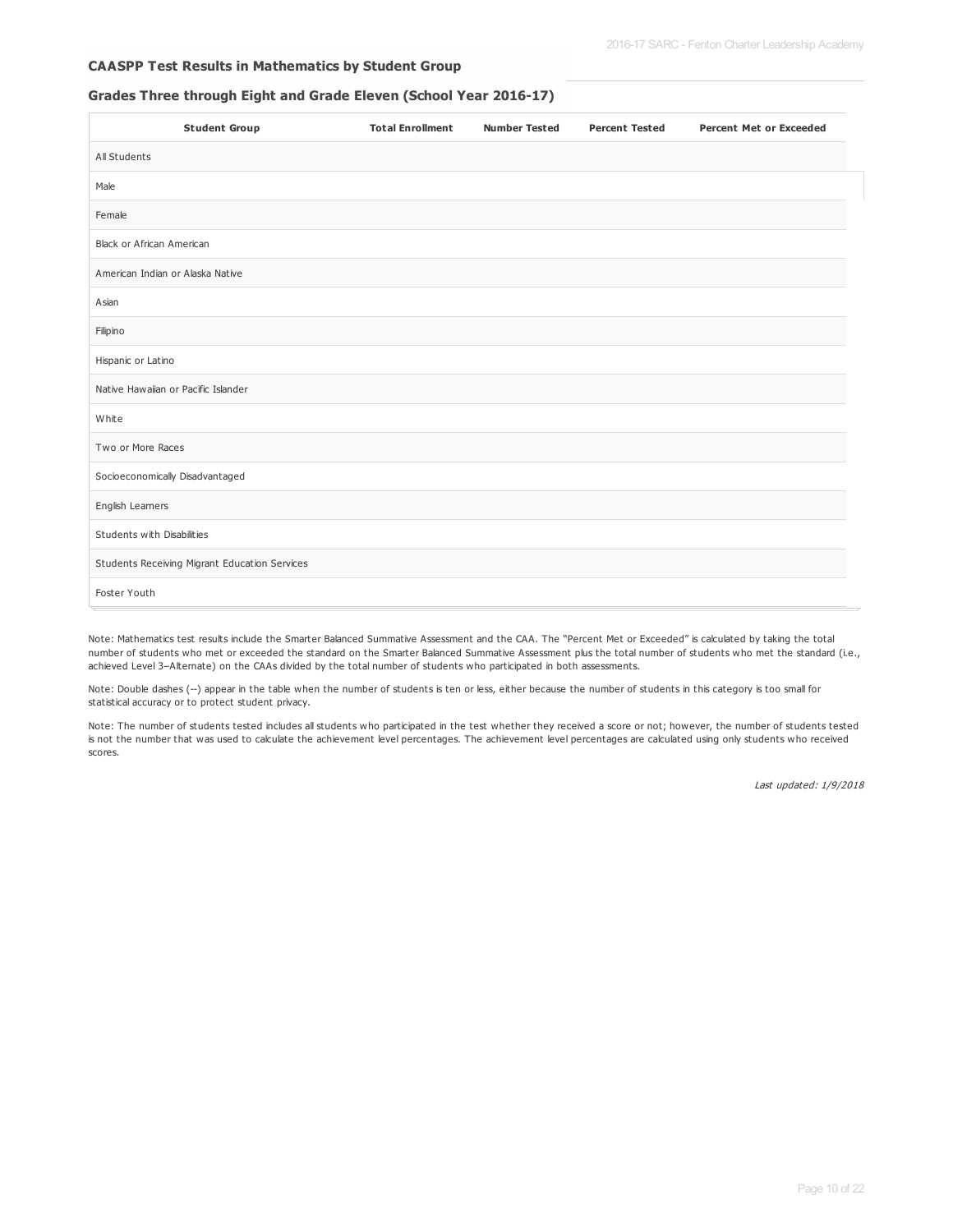#### **CAASPP Test Results in Mathematics by Student Group**

#### Grades Three through Eight and Grade Eleven (School Year 2016-17)

| <b>Student Group</b>                          | <b>Total Enrollment</b> | <b>Number Tested</b> | <b>Percent Tested</b> | <b>Percent Met or Exceeded</b> |
|-----------------------------------------------|-------------------------|----------------------|-----------------------|--------------------------------|
| All Students                                  |                         |                      |                       |                                |
| Male                                          |                         |                      |                       |                                |
| Female                                        |                         |                      |                       |                                |
| Black or African American                     |                         |                      |                       |                                |
| American Indian or Alaska Native              |                         |                      |                       |                                |
| Asian                                         |                         |                      |                       |                                |
| Filipino                                      |                         |                      |                       |                                |
| Hispanic or Latino                            |                         |                      |                       |                                |
| Native Hawaiian or Pacific Islander           |                         |                      |                       |                                |
| White                                         |                         |                      |                       |                                |
| Two or More Races                             |                         |                      |                       |                                |
| Socioeconomically Disadvantaged               |                         |                      |                       |                                |
| English Learners                              |                         |                      |                       |                                |
| Students with Disabilities                    |                         |                      |                       |                                |
| Students Receiving Migrant Education Services |                         |                      |                       |                                |
| Foster Youth                                  |                         |                      |                       |                                |

Note: Mathematics test results include the Smarter Balanced Summative Assessment and the CAA. The "Percent Met or Exceeded" is calculated by taking the total number of students who met or exceeded the standard on the Smarter Balanced Summative Assessment plus the total number of students who met the standard (i.e., achieved Level 3–Alternate) on the CAAs divided by the total number of students who participated in both assessments.

Note: Double dashes (--) appear in the table when the number of students is ten or less, either because the number of students in this category is too small for statistical accuracy or to protect student privacy.

Note: The number of students tested includes all students who participated in the test whether they received a score or not; however, the number of students tested is not the number that was used to calculate the achievement level percentages. The achievement level percentages are calculated using only students who received scores.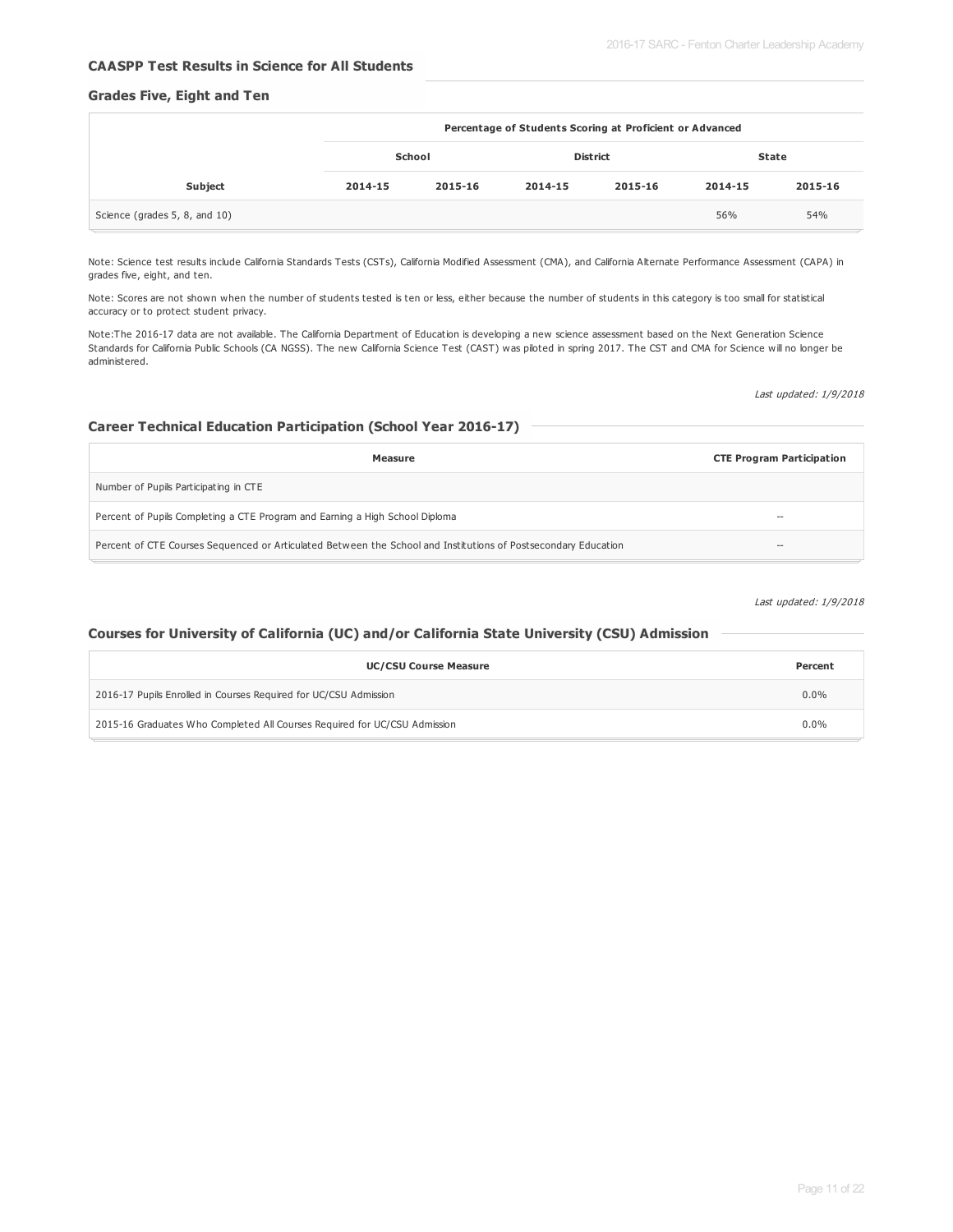### **CAASPP Test Results in Science for All Students**

### **Grades Five, Eight and Ten**

|                               | Percentage of Students Scoring at Proficient or Advanced |         |                 |         |              |         |
|-------------------------------|----------------------------------------------------------|---------|-----------------|---------|--------------|---------|
|                               | School                                                   |         | <b>District</b> |         | <b>State</b> |         |
| <b>Subject</b>                | 2014-15                                                  | 2015-16 | 2014-15         | 2015-16 | 2014-15      | 2015-16 |
| Science (grades 5, 8, and 10) |                                                          |         |                 |         | 56%          | 54%     |

Note: Science test results include California Standards Tests (CSTs), California Modified Assessment (CMA), and California Alternate Performance Assessment (CAPA) in grades five, eight, and ten.

Note: Scores are not shown when the number of students tested is ten or less, either because the number of students in this category is too small for statistical accuracy or to protect student privacy.

Note:The 2016-17 data are not available. The California Department of Education is developing a new science assessment based on the Next Generation Science Standards for California Public Schools (CA NGSS). The new California Science Test (CAST) was piloted in spring 2017. The CST and CMA for Science will no longer be administered.

Last updated: 1/9/2018

#### **Career Technical Education Participation (School Year 2016-17)**

| Measure                                                                                                        | <b>CTE Program Participation</b> |
|----------------------------------------------------------------------------------------------------------------|----------------------------------|
| Number of Pupils Participating in CTE                                                                          |                                  |
| Percent of Pupils Completing a CTE Program and Earning a High School Diploma                                   | $-$                              |
| Percent of CTE Courses Sequenced or Articulated Between the School and Institutions of Postsecondary Education | $-$                              |

Last updated: 1/9/2018

#### Courses for University of California (UC) and/or California State University (CSU) Admission

| <b>UC/CSU Course Measure</b>                                              |      |  |  |  |  |  |
|---------------------------------------------------------------------------|------|--|--|--|--|--|
| 2016-17 Pupils Enrolled in Courses Required for UC/CSU Admission          | 0.0% |  |  |  |  |  |
| 2015-16 Graduates Who Completed All Courses Required for UC/CSU Admission | 0.0% |  |  |  |  |  |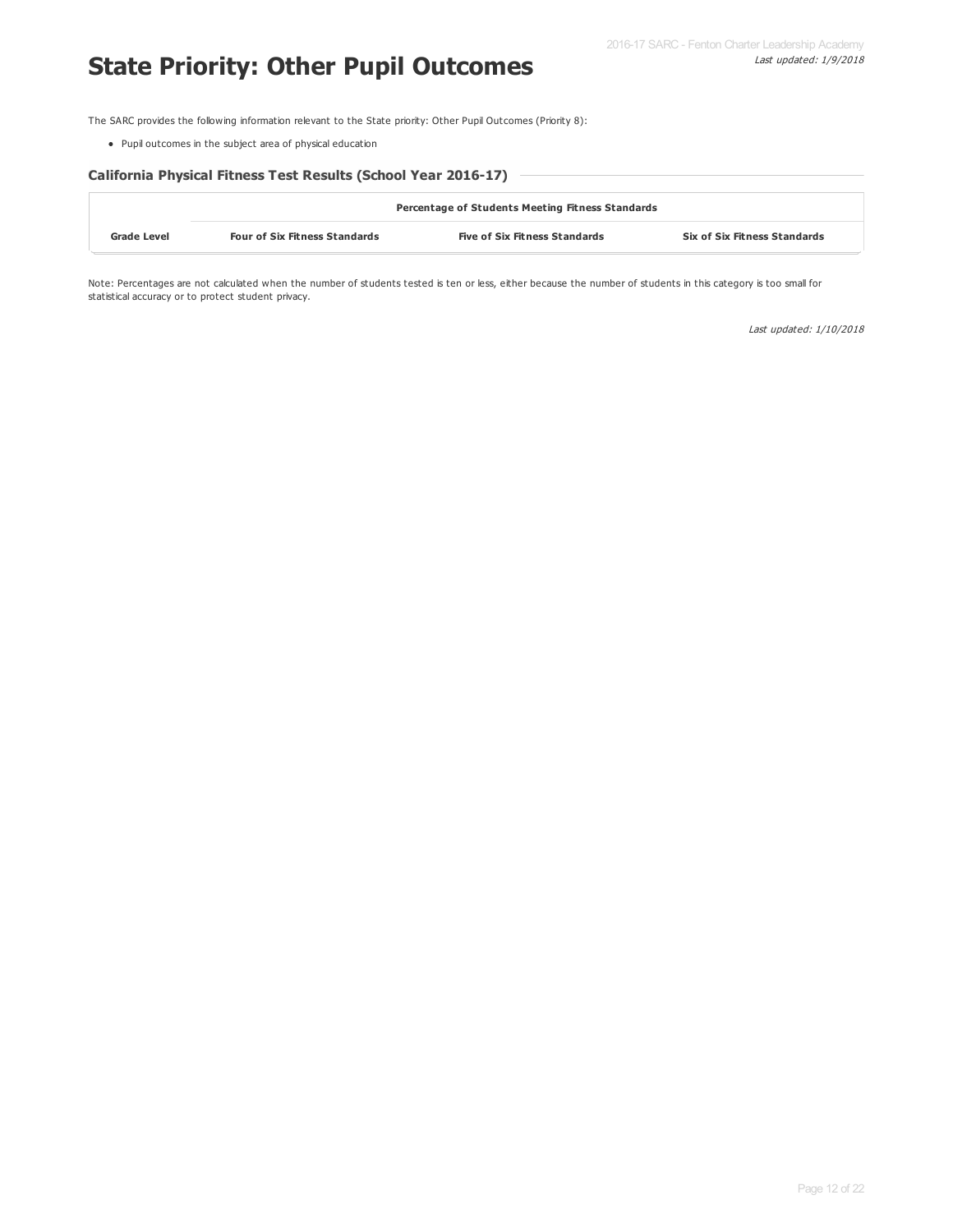# **State Priority: Other Pupil Outcomes**

The SARC provides the following information relevant to the State priority: Other Pupil Outcomes (Priority 8):

Pupil outcomes in the subject area of physical education

#### California Physical Fitness Test Results (School Year 2016-17)

|                    |                                      | Percentage of Students Meeting Fitness Standards |                              |
|--------------------|--------------------------------------|--------------------------------------------------|------------------------------|
| <b>Grade Level</b> | <b>Four of Six Fitness Standards</b> | <b>Five of Six Fitness Standards</b>             | Six of Six Fitness Standards |

Note: Percentages are not calculated when the number of students tested is ten or less, either because the number of students in this category is too small for statistical accuracy or to protect student privacy.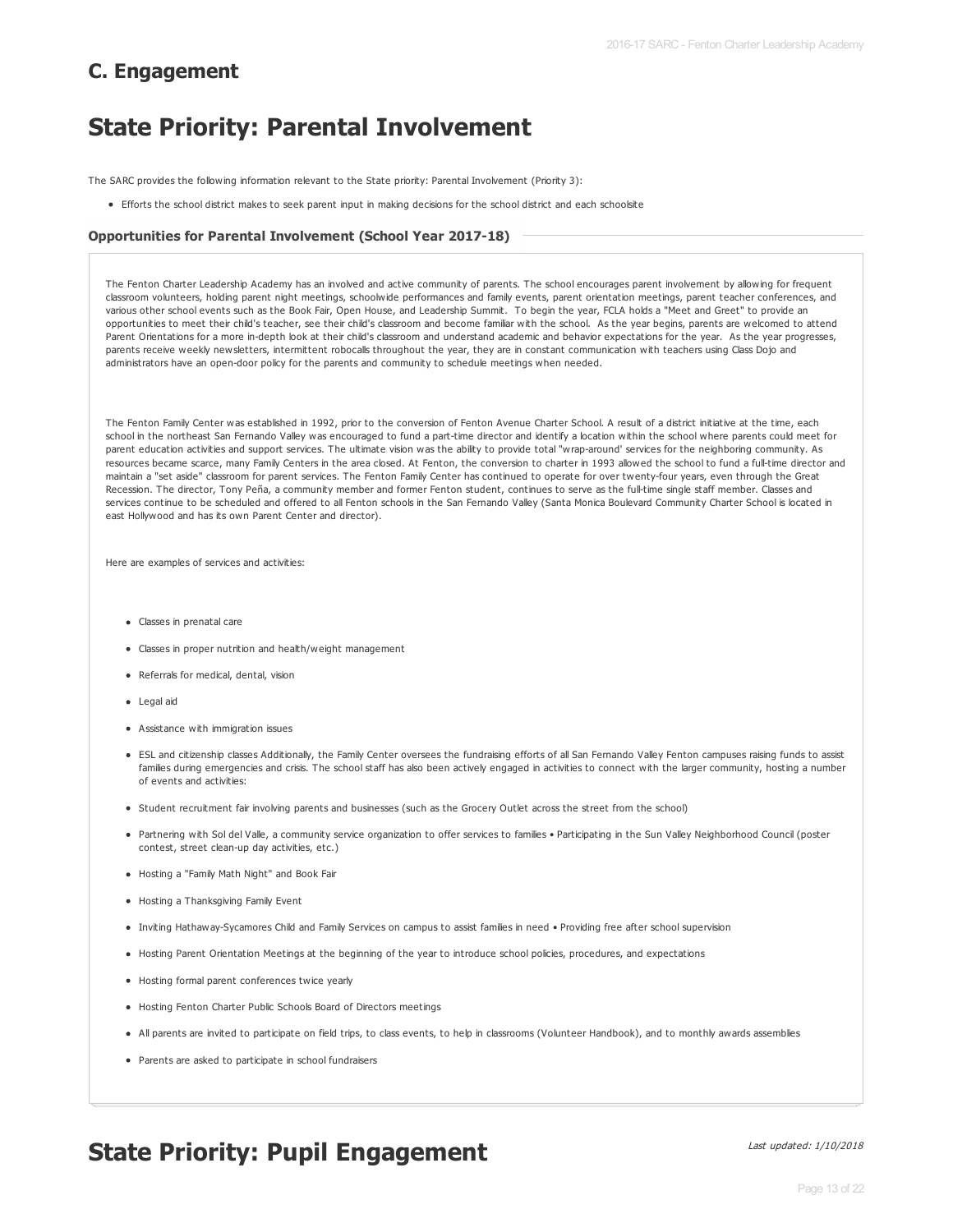# **C.** Engagement

# **State Priority: Parental Involvement**

The SARC provides the following information relevant to the State priority: Parental Involvement (Priority 3):

Efforts the school district makes to seek parent input in making decisions for the school district and each schoolsite

### **Opportunities for Parental Involvement (School Year 2017-18)**

The Fenton Charter Leadership Academy has an involved and active community of parents. The school encourages parent involvement by allowing for frequent classroom volunteers, holding parent night meetings, schoolwide performances and family events, parent orientation meetings, parent teacher conferences, and various other school events such as the Book Fair, Open House, and Leadership Summit. To begin the year, FCLA holds a "Meet and Greet" to provide an opportunities to meet their child's teacher, see their child's classroom and become familiar with the school. As the year begins, parents are welcomed to attend Parent Orientations for a more in-depth look at their child's classroom and understand academic and behavior expectations for the year. As the year progresses, parents receive weekly newsletters, intermittent robocalls throughout the year, they are in constant communication with teachers using Class Dojo and administrators have an open-door policy for the parents and community to schedule meetings when needed.

The Fenton Family Center was established in 1992, prior to the conversion of Fenton Avenue Charter School. A result of a district initiative at the time, each school in the northeast San Fernando Valley was encouraged to fund a part-time director and identify a location within the school where parents could meet for parent education activities and support services. The ultimate vision was the ability to provide total "wrap-around' services for the neighboring community. As resources became scarce, many Family Centers in the area closed. At Fenton, the conversion to charter in 1993 allowed the school to fund a full-time director and maintain a "set aside" classroom for parent services. The Fenton Family Center has continued to operate for over twenty-four years, even through the Great Recession. The director, Tony Peña, a community member and former Fenton student, continues to serve as the full-time single staff member. Classes and services continue to be scheduled and offered to all Fenton schools in the San Fernando Valley (Santa Monica Boulevard Community Charter School is located in east Hollywood and has its own Parent Center and director).

Here are examples of services and activities:

- Classes in prenatal care
- Classes in proper nutrition and health/weight management
- Referrals for medical, dental, vision
- Legal aid
- Assistance with immigration issues
- ESL and citizenship classes Additionally, the Family Center oversees the fundraising efforts of all San Fernando Valley Fenton campuses raising funds to assist families during emergencies and crisis. The school staff has also been actively engaged in activities to connect with the larger community, hosting a number of events and activities:
- Student recruitment fair involving parents and businesses (such as the Grocery Outlet across the street from the school)
- Partnering with Sol del Valle, a community service organization to offer services to families Participating in the Sun Valley Neighborhood Council (poster contest, street clean-up day activities, etc.)
- Hosting a "Family Math Night" and Book Fair
- Hosting a Thanksgiving Family Event
- Inviting Hathaway-Sycamores Child and Family Services on campus to assist families in need Providing free after school supervision
- Hosting Parent Orientation Meetings at the beginning of the year to introduce school policies, procedures, and expectations
- Hosting formal parent conferences twice yearly
- Hosting Fenton Charter Public Schools Board of Directors meetings
- All parents are invited to participate on field trips, to class events, to help in classrooms (Volunteer Handbook), and to monthly awards assemblies
- Parents are asked to participate in school fundraisers

# **State Priority: Pupil Engagement**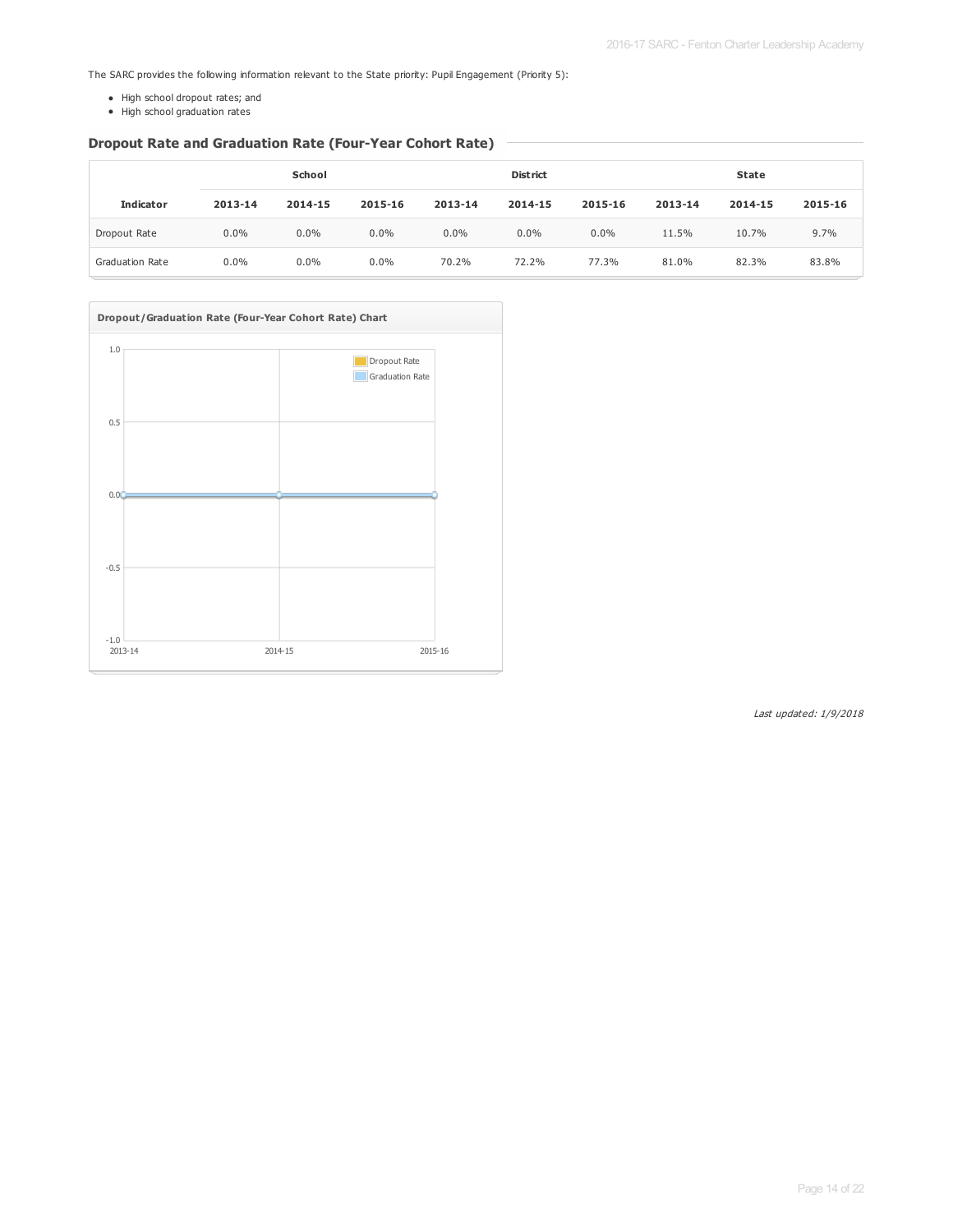The SARC provides the following information relevant to the State priority: Pupil Engagement (Priority 5):

- High school dropout rates; and
- $\bullet$  High school graduation rates

|                        | School  |         |         |         | <b>District</b> |         |         | <b>State</b> |         |  |  |
|------------------------|---------|---------|---------|---------|-----------------|---------|---------|--------------|---------|--|--|
| <b>Indicator</b>       | 2013-14 | 2014-15 | 2015-16 | 2013-14 | 2014-15         | 2015-16 | 2013-14 | 2014-15      | 2015-16 |  |  |
| Dropout Rate           | $0.0\%$ | $0.0\%$ | $0.0\%$ | $0.0\%$ | 0.0%            | $0.0\%$ | 11.5%   | 10.7%        | 9.7%    |  |  |
| <b>Graduation Rate</b> | $0.0\%$ | $0.0\%$ | $0.0\%$ | 70.2%   | 72.2%           | 77.3%   | 81.0%   | 82.3%        | 83.8%   |  |  |

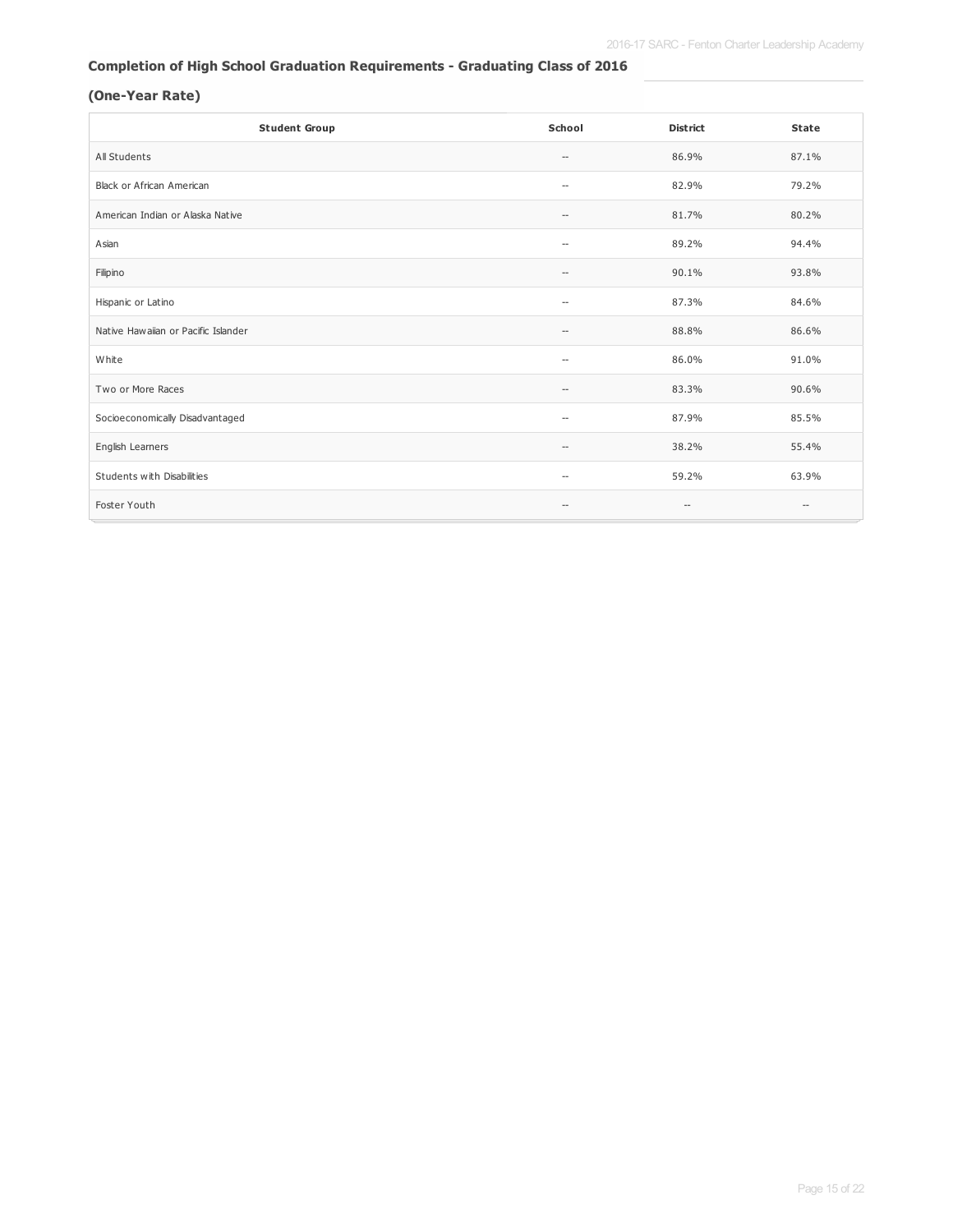#### Completion of High School Graduation Requirements - Graduating Class of 2016

#### **(One-Year Rate)**

| <b>Student Group</b>                | School                   | <b>District</b>          | <b>State</b>        |
|-------------------------------------|--------------------------|--------------------------|---------------------|
| All Students                        | $\overline{\phantom{a}}$ | 86.9%                    | 87.1%               |
| <b>Black or African American</b>    | $\overline{\phantom{a}}$ | 82.9%                    | 79.2%               |
| American Indian or Alaska Native    | $\overline{\phantom{a}}$ | 81.7%                    | 80.2%               |
| Asian                               | $\overline{\phantom{a}}$ | 89.2%                    | 94.4%               |
| Filipino                            | $\overline{\phantom{a}}$ | 90.1%                    | 93.8%               |
| Hispanic or Latino                  | $\overline{\phantom{a}}$ | 87.3%                    | 84.6%               |
| Native Hawaiian or Pacific Islander | $\overline{\phantom{a}}$ | 88.8%                    | 86.6%               |
| White                               | $\overline{\phantom{a}}$ | 86.0%                    | 91.0%               |
| Two or More Races                   | $\overline{\phantom{a}}$ | 83.3%                    | 90.6%               |
| Socioeconomically Disadvantaged     | $\overline{\phantom{a}}$ | 87.9%                    | 85.5%               |
| English Learners                    | $\overline{\phantom{a}}$ | 38.2%                    | 55.4%               |
| Students with Disabilities          | $\overline{\phantom{a}}$ | 59.2%                    | 63.9%               |
| Foster Youth                        | $\overline{\phantom{a}}$ | $\overline{\phantom{a}}$ | $\hspace{0.05cm} -$ |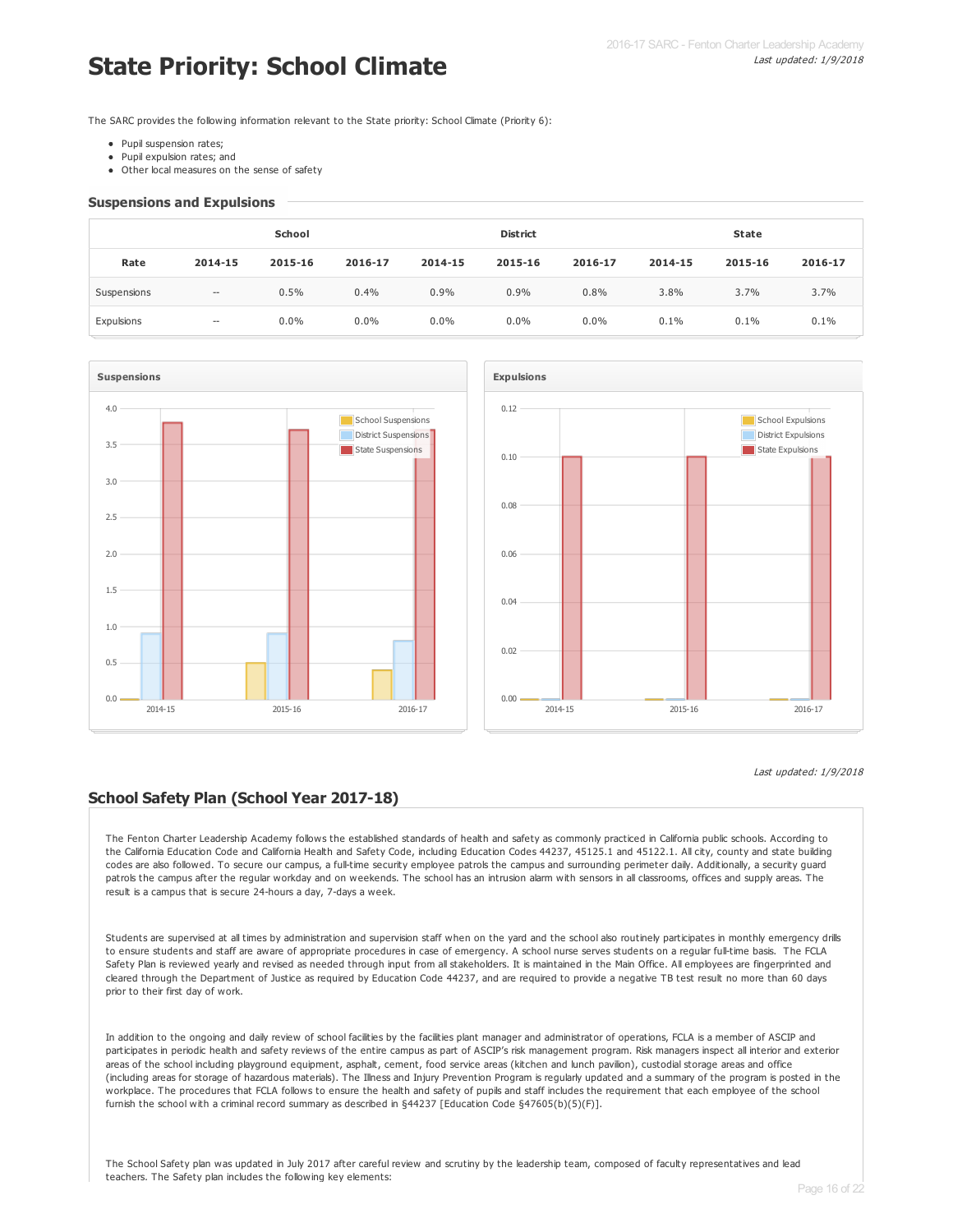# **State Priority: School Climate**

The SARC provides the following information relevant to the State priority: School Climate (Priority 6):

- Pupil suspension rates;
- Pupil expulsion rates; and
- Other local measures on the sense of safety

#### **Suspensions and Expulsions**

|             | School                   |         |         |         | <b>District</b> |         | <b>State</b> |         |         |  |
|-------------|--------------------------|---------|---------|---------|-----------------|---------|--------------|---------|---------|--|
| Rate        | 2014-15                  | 2015-16 | 2016-17 | 2014-15 | 2015-16         | 2016-17 | 2014-15      | 2015-16 | 2016-17 |  |
| Suspensions | $\overline{\phantom{a}}$ | 0.5%    | 0.4%    | 0.9%    | 0.9%            | 0.8%    | 3.8%         | 3.7%    | 3.7%    |  |
| Expulsions  | $\overline{\phantom{a}}$ | $0.0\%$ | $0.0\%$ | $0.0\%$ | $0.0\%$         | $0.0\%$ | 0.1%         | 0.1%    | 0.1%    |  |





## **School Safety Plan (School Year 2017-18)**

The Fenton Charter Leadership Academy follows the established standards of health and safety as commonly practiced in California public schools. According to the California Education Code and California Health and Safety Code, including Education Codes 44237, 45125.1 and 45122.1. All city, county and state building codes are also followed. To secure our campus, a full-time security employee patrols the campus and surrounding perimeter daily. Additionally, a security guard patrols the campus after the regular workday and on weekends. The school has an intrusion alarm with sensors in all classrooms, offices and supply areas. The result is a campus that is secure 24-hours a day, 7-days a week.

Students are supervised at all times by administration and supervision staff when on the yard and the school also routinely participates in monthly emergency drills to ensure students and staff are aware of appropriate procedures in case of emergency. A school nurse serves students on a regular full-time basis. The FCLA Safety Plan is reviewed yearly and revised as needed through input from all stakeholders. It is maintained in the Main Office. All employees are fingerprinted and cleared through the Department of Justice as required by Education Code 44237, and are required to provide a negative TB test result no more than 60 days prior to their first day of work.

In addition to the ongoing and daily review of school facilities by the facilities plant manager and administrator of operations, FCLA is a member of ASCIP and participates in periodic health and safety reviews of the entire campus as part of ASCIP's risk management program. Risk managers inspect all interior and exterior areas of the school including playground equipment, asphalt, cement, food service areas (kitchen and lunch pavilion), custodial storage areas and office (including areas for storage of hazardous materials). The Illness and Injury Prevention Program is regularly updated and a summary of the program is posted in the workplace. The procedures that FCLA follows to ensure the health and safety of pupils and staff includes the requirement that each employee of the school furnish the school with a criminal record summary as described in §44237 [Education Code §47605(b)(5)(F)].

The School Safety plan was updated in July 2017 after careful review and scrutiny by the leadership team, composed of faculty representatives and lead teachers. The Safety plan includes the following key elements: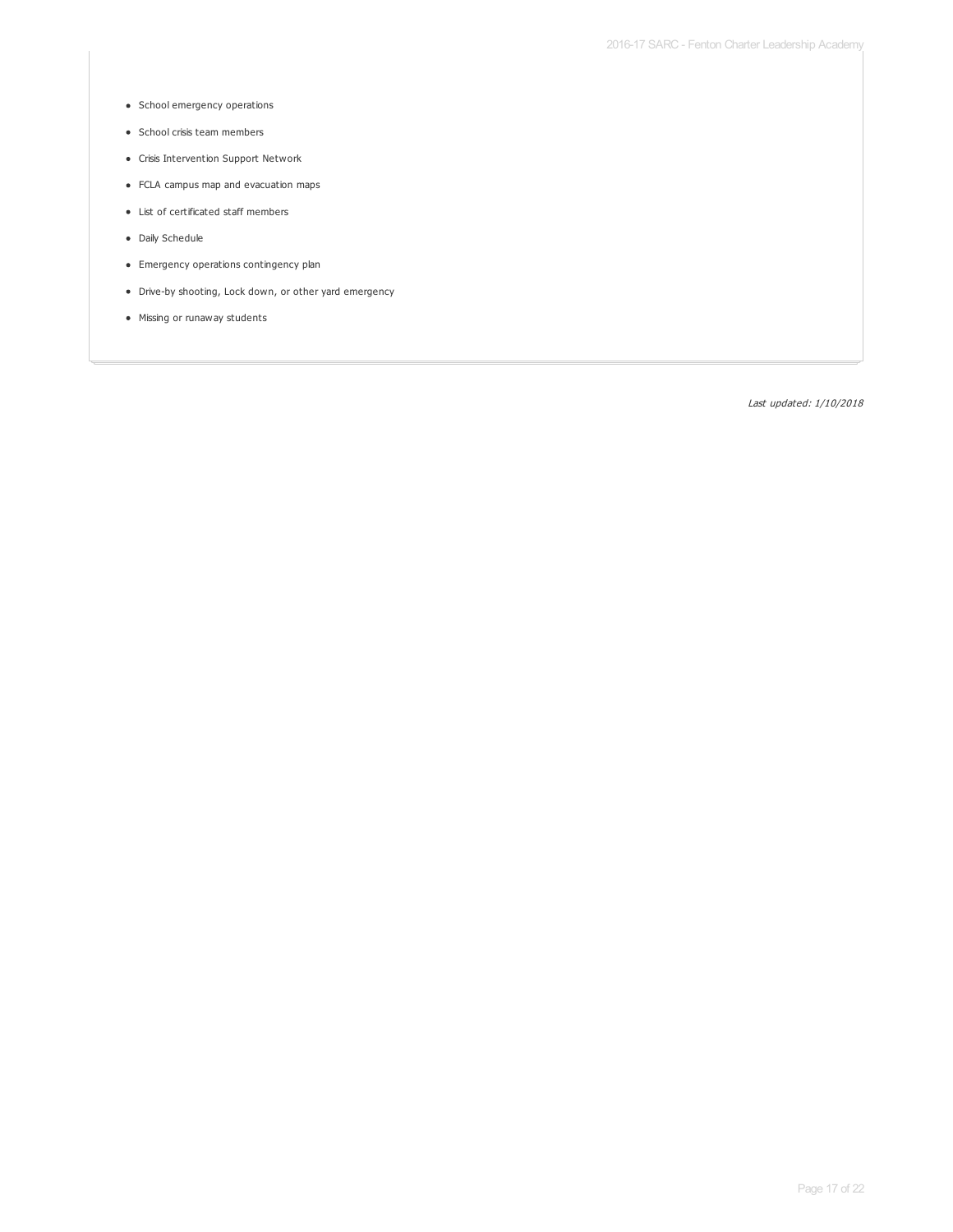- School emergency operations
- **•** School crisis team members
- Crisis Intervention Support Network
- FCLA campus map and evacuation maps
- List of certificated staff members
- Daily Schedule
- Emergency operations contingency plan
- Drive-by shooting, Lock down, or other yard emergency
- Missing or runaway students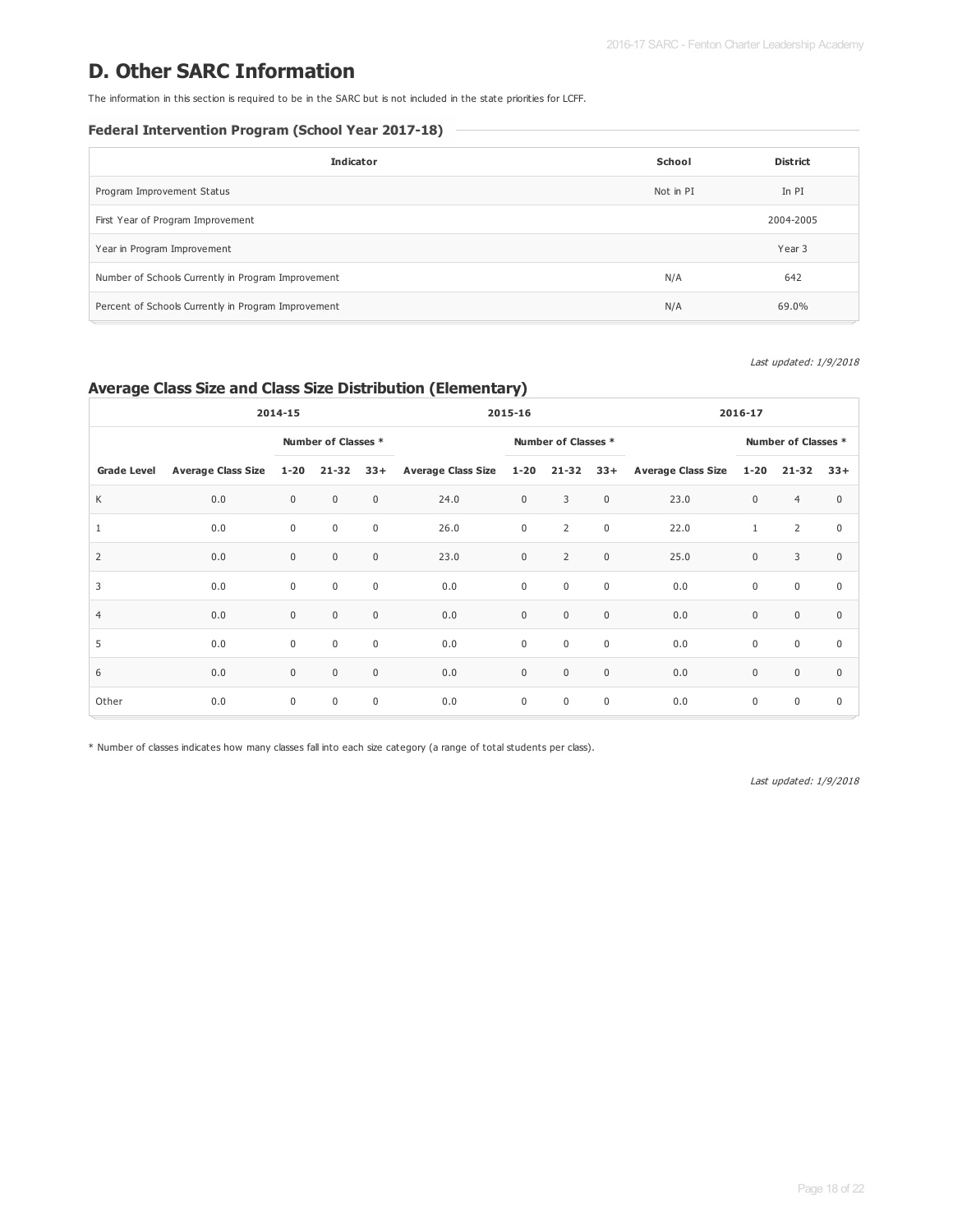# **D. Other SARC Information**

The information in this section is required to be in the SARC but is not included in the state priorities for LCFF.

#### Federal Intervention Program (School Year 2017-18)

| <b>Indicator</b>                                    | School    | <b>District</b> |
|-----------------------------------------------------|-----------|-----------------|
| Program Improvement Status                          | Not in PI | In PI           |
| First Year of Program Improvement                   |           | 2004-2005       |
| Year in Program Improvement                         |           | Year 3          |
| Number of Schools Currently in Program Improvement  | N/A       | 642             |
| Percent of Schools Currently in Program Improvement | N/A       | 69.0%           |

Last updated: 1/9/2018

# **Average Class Size and Class Size Distribution (Elementary)**

|                    |                           | 2014-15     |                     |                  |                         | 2015-16             |                |              |                           | 2016-17          |                |              |
|--------------------|---------------------------|-------------|---------------------|------------------|-------------------------|---------------------|----------------|--------------|---------------------------|------------------|----------------|--------------|
|                    |                           |             | Number of Classes * |                  |                         | Number of Classes * |                |              | Number of Classes *       |                  |                |              |
| <b>Grade Level</b> | <b>Average Class Size</b> | $1 - 20$    | 21-32               | $33+$            | Average Class Size 1-20 |                     | $21 - 32$      | $33+$        | <b>Average Class Size</b> | $1 - 20$         | 21-32          | $33+$        |
| К                  | 0.0                       | $\mathbf 0$ | $\mathbf{0}$        | $\boldsymbol{0}$ | 24.0                    | $\mathbf 0$         | 3              | $\mathsf 0$  | 23.0                      | $\boldsymbol{0}$ | $\overline{4}$ | $\mathbf{0}$ |
| 1                  | 0.0                       | $\mathbf 0$ | $\mathbf 0$         | $\mathbf 0$      | 26.0                    | $\mathbf 0$         | $\overline{2}$ | $\mathbf 0$  | 22.0                      | $\mathbf{1}$     | 2              | $\mathbf 0$  |
| 2                  | 0.0                       | $\mathbf 0$ | $\mathbf{0}$        | $\mathbb O$      | 23.0                    | $\mathbf 0$         | $\overline{2}$ | $\mathbf 0$  | 25.0                      | $\boldsymbol{0}$ | 3              | $\mathbf{0}$ |
| 3                  | 0.0                       | $\mathbf 0$ | $\overline{0}$      | $\mathbf 0$      | 0.0                     | $\mathbf 0$         | $\mathbf 0$    | $\mathbf 0$  | 0.0                       | $\boldsymbol{0}$ | $\mathbf 0$    | $\mathbf 0$  |
| $\overline{4}$     | 0.0                       | $\mathbf 0$ | $\overline{0}$      | $\mathbf 0$      | 0.0                     | 0                   | $\mathbf 0$    | $\mathsf 0$  | 0.0                       | $\mathbf 0$      | $\mathbf 0$    | $\mathbf{0}$ |
| 5                  | 0.0                       | $\mathbf 0$ | $\mathbf 0$         | $\mathbf 0$      | 0.0                     | $\mathbf 0$         | $\mathsf 0$    | $\mathsf{0}$ | 0.0                       | $\mathbf 0$      | $\mathbf 0$    | $\mathbf 0$  |
| 6                  | 0.0                       | $\mathbf 0$ | $\mathbf 0$         | $\mathbf 0$      | 0.0                     | $\mathbf 0$         | $\mathsf 0$    | $\mathsf 0$  | 0.0                       | $\boldsymbol{0}$ | $\mathbf 0$    | $\mathbf{0}$ |
| Other              | 0.0                       | $\mathbf 0$ | $\mathbf 0$         | $\mathbf 0$      | 0.0                     | $\mathbf 0$         | $\mathbf 0$    | $\mathbf 0$  | 0.0                       | $\mathbf 0$      | $\mathbf 0$    | $\mathbf 0$  |

\* Number of classes indicates how many classes fall into each size category (a range of total students per class).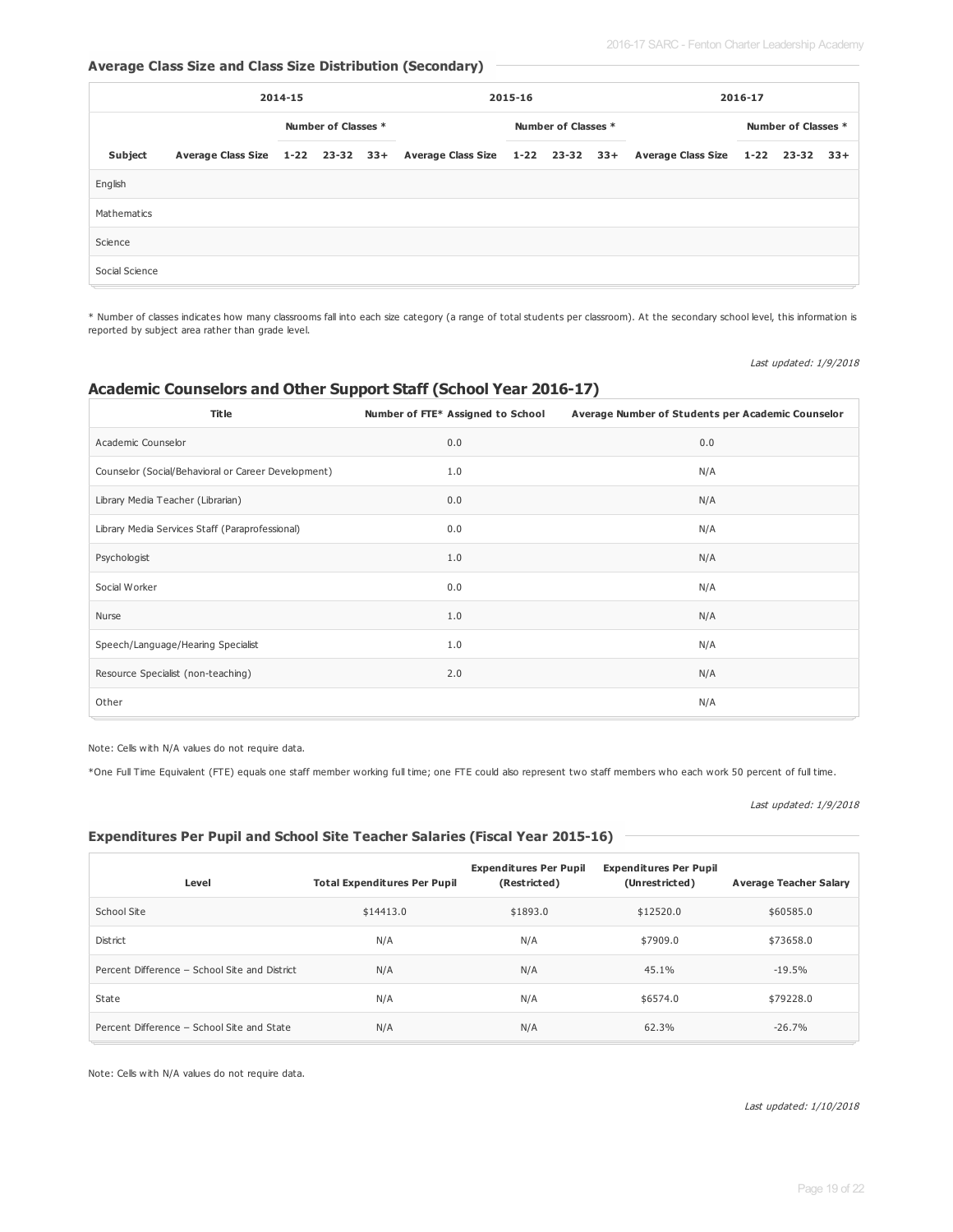### **Average Class Size and Class Size Distribution (Secondary)**

|                | 2014-15 |  |                     |  |  | 2015-16 |                     |  |                                                                                                       | 2016-17 |                     |  |  |
|----------------|---------|--|---------------------|--|--|---------|---------------------|--|-------------------------------------------------------------------------------------------------------|---------|---------------------|--|--|
|                |         |  | Number of Classes * |  |  |         | Number of Classes * |  |                                                                                                       |         | Number of Classes * |  |  |
| <b>Subject</b> |         |  |                     |  |  |         |                     |  | Average Class Size 1-22 23-32 33+ Average Class Size 1-22 23-32 33+ Average Class Size 1-22 23-32 33+ |         |                     |  |  |
| English        |         |  |                     |  |  |         |                     |  |                                                                                                       |         |                     |  |  |
| Mathematics    |         |  |                     |  |  |         |                     |  |                                                                                                       |         |                     |  |  |
| Science        |         |  |                     |  |  |         |                     |  |                                                                                                       |         |                     |  |  |
| Social Science |         |  |                     |  |  |         |                     |  |                                                                                                       |         |                     |  |  |

\* Number of classes indicates how many classrooms fall into each size category (a range of total students per classroom). At the secondary school level, this information is reported by subject area rather than grade level.

#### Last updated: 1/9/2018

## Academic Counselors and Other Support Staff (School Year 2016-17)

| <b>Title</b>                                        | Number of FTE* Assigned to School | Average Number of Students per Academic Counselor |
|-----------------------------------------------------|-----------------------------------|---------------------------------------------------|
| Academic Counselor                                  | 0.0                               | 0.0                                               |
| Counselor (Social/Behavioral or Career Development) | 1.0                               | N/A                                               |
| Library Media Teacher (Librarian)                   | 0.0                               | N/A                                               |
| Library Media Services Staff (Paraprofessional)     | 0.0                               | N/A                                               |
| Psychologist                                        | 1.0                               | N/A                                               |
| Social Worker                                       | 0.0                               | N/A                                               |
| Nurse                                               | 1.0                               | N/A                                               |
| Speech/Language/Hearing Specialist                  | 1.0                               | N/A                                               |
| Resource Specialist (non-teaching)                  | 2.0                               | N/A                                               |
| Other                                               |                                   | N/A                                               |

Note: Cells with N/A values do not require data.

\*One Full Time Equivalent (FTE) equals one staff member working full time; one FTE could also represent two staff members who each work 50 percent of full time.

#### Last updated: 1/9/2018

#### Expenditures Per Pupil and School Site Teacher Salaries (Fiscal Year 2015-16)

| Level                                         | <b>Total Expenditures Per Pupil</b> | <b>Expenditures Per Pupil</b><br>(Restricted) | <b>Expenditures Per Pupil</b><br>(Unrestricted) | <b>Average Teacher Salary</b> |
|-----------------------------------------------|-------------------------------------|-----------------------------------------------|-------------------------------------------------|-------------------------------|
| School Site                                   | \$14413.0                           | \$1893.0                                      | \$12520.0                                       | \$60585.0                     |
| <b>District</b>                               | N/A                                 | N/A                                           | \$7909.0                                        | \$73658.0                     |
| Percent Difference - School Site and District | N/A                                 | N/A                                           | 45.1%                                           | $-19.5%$                      |
| State                                         | N/A                                 | N/A                                           | \$6574.0                                        | \$79228.0                     |
| Percent Difference - School Site and State    | N/A                                 | N/A                                           | 62.3%                                           | $-26.7%$                      |

Note: Cells with N/A values do not require data.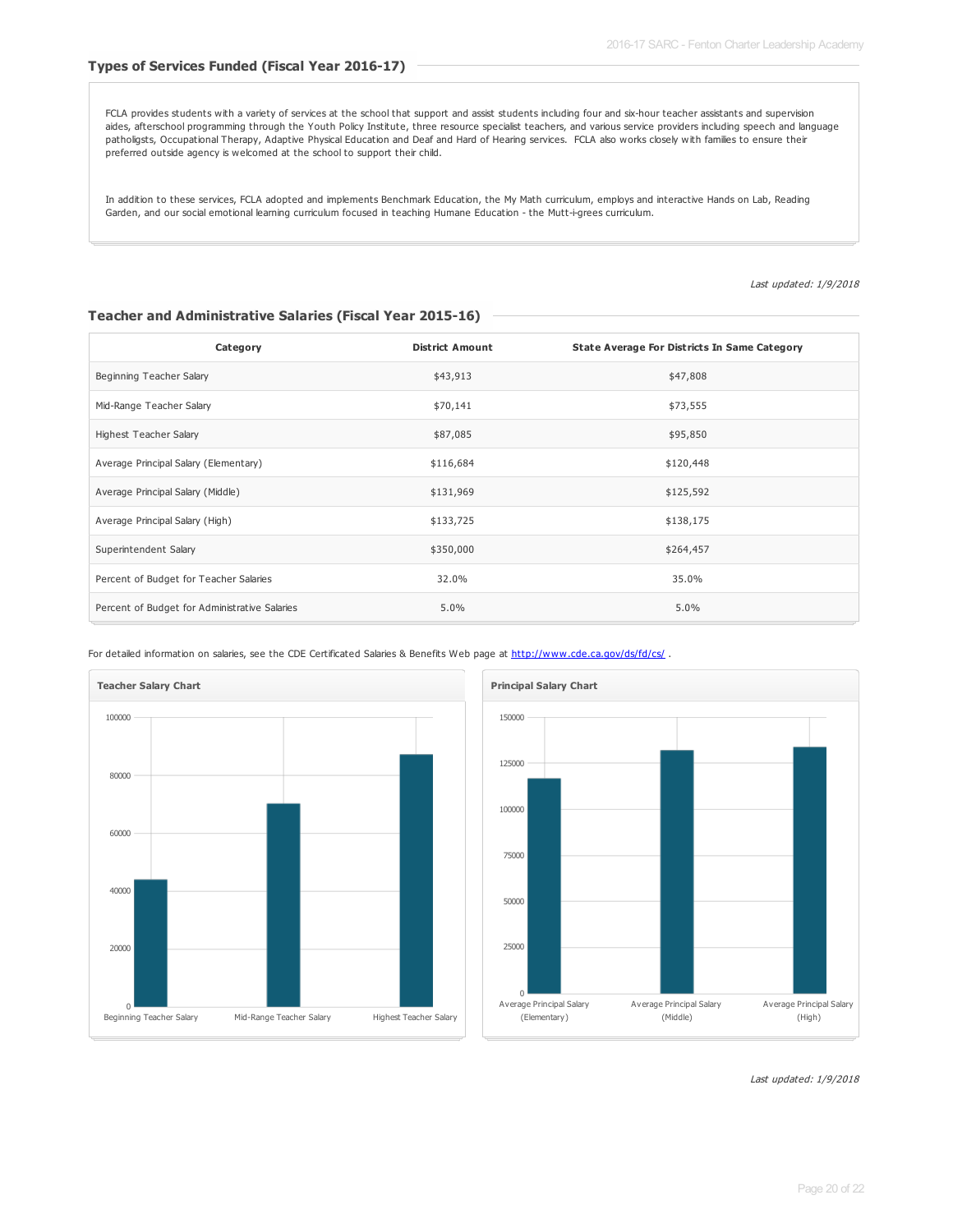FCLA provides students with a variety of services at the school that support and assist students including four and six-hour teacher assistants and supervision aides, afterschool programming through the Youth Policy Institute, three resource specialist teachers, and various service providers including speech and language patholigsts, Occupational Therapy, Adaptive Physical Education and Deaf and Hard of Hearing services. FCLA also works closely with families to ensure their preferred outside agency is welcomed at the school to support their child.

In addition to these services, FCLA adopted and implements Benchmark Education, the My Math curriculum, employs and interactive Hands on Lab, Reading Garden, and our social emotional learning curriculum focused in teaching Humane Education - the Mutt-i-grees curriculum.

Last updated: 1/9/2018

#### **Teacher and Administrative Salaries (Fiscal Year 2015-16)**

| Category                                      | <b>District Amount</b> | <b>State Average For Districts In Same Category</b> |
|-----------------------------------------------|------------------------|-----------------------------------------------------|
| Beginning Teacher Salary                      | \$43,913               | \$47,808                                            |
| Mid-Range Teacher Salary                      | \$70,141               | \$73,555                                            |
| Highest Teacher Salary                        | \$87,085               | \$95,850                                            |
| Average Principal Salary (Elementary)         | \$116,684              | \$120,448                                           |
| Average Principal Salary (Middle)             | \$131,969              | \$125,592                                           |
| Average Principal Salary (High)               | \$133,725              | \$138,175                                           |
| Superintendent Salary                         | \$350,000              | \$264,457                                           |
| Percent of Budget for Teacher Salaries        | 32.0%                  | 35.0%                                               |
| Percent of Budget for Administrative Salaries | 5.0%                   | 5.0%                                                |



![](_page_19_Figure_8.jpeg)

For detailed information on salaries, see the CDE Certificated Salaries & Benefits Web page at <http://www.cde.ca.gov/ds/fd/cs/>.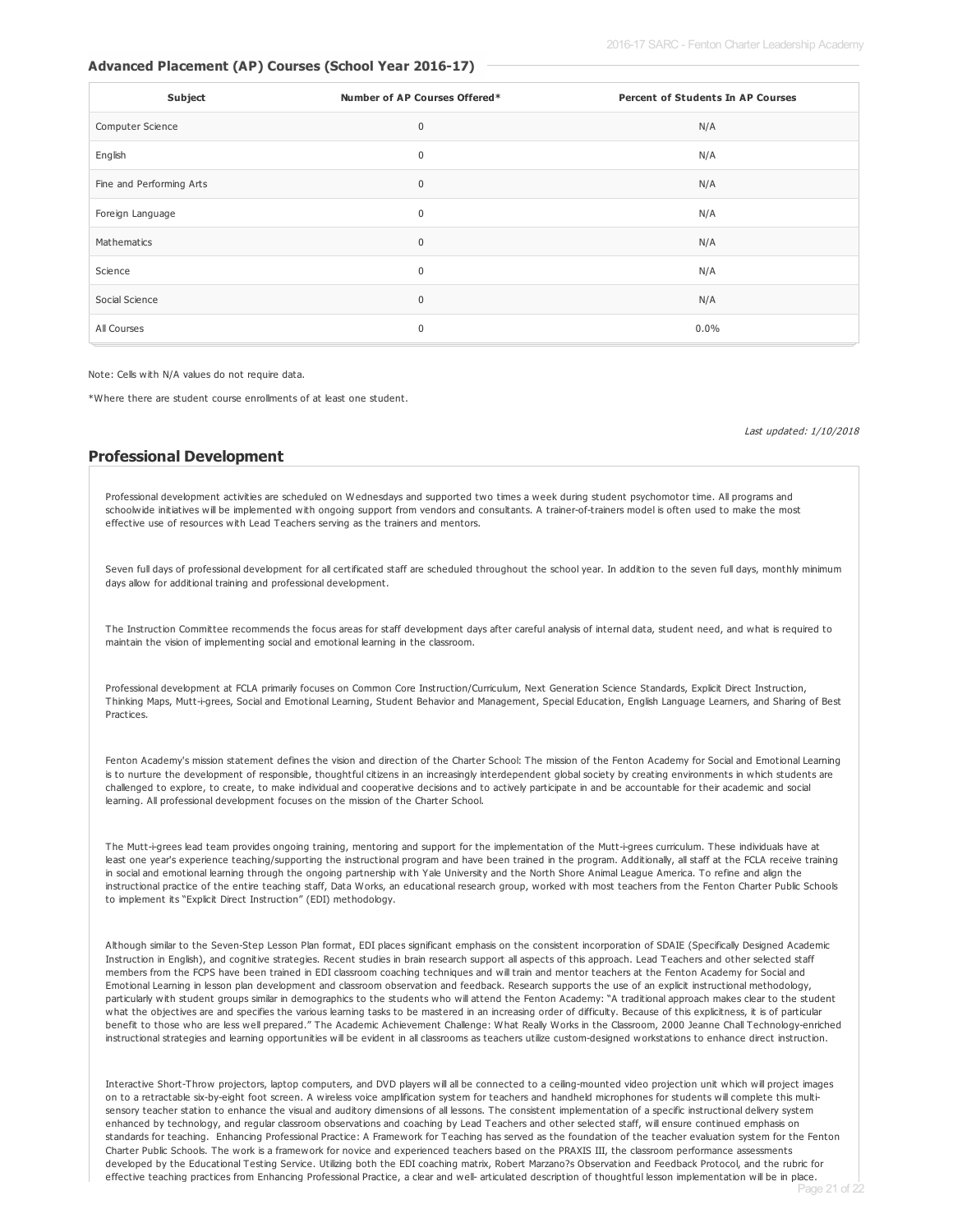### **Advanced Placement (AP) Courses (School Year 2016-17)**

| Subject                  | Number of AP Courses Offered* | Percent of Students In AP Courses |
|--------------------------|-------------------------------|-----------------------------------|
| Computer Science         | $\mathsf 0$                   | N/A                               |
| English                  | $\mathbf 0$                   | N/A                               |
| Fine and Performing Arts | $\mathbf 0$                   | N/A                               |
| Foreign Language         | $\mathbf 0$                   | N/A                               |
| Mathematics              | $\mathsf 0$                   | N/A                               |
| Science                  | $\mathbf 0$                   | N/A                               |
| Social Science           | $\mathbf 0$                   | N/A                               |
| All Courses              | $\mathbf 0$                   | $0.0\%$                           |

Note: Cells with N/A values do not require data.

\*Where there are student course enrollments of at least one student.

Last updated: 1/10/2018

## **Professional Development**

Professional development activities are scheduled on Wednesdays and supported two times a week during student psychomotor time. All programs and schoolwide initiatives will be implemented with ongoing support from vendors and consultants. A trainer-of-trainers model is often used to make the most effective use of resources with Lead Teachers serving as the trainers and mentors.

Seven full days of professional development for all certificated staff are scheduled throughout the school year. In addition to the seven full days, monthly minimum days allow for additional training and professional development.

The Instruction Committee recommends the focus areas for staff development days after careful analysis of internal data, student need, and what is required to maintain the vision of implementing social and emotional learning in the classroom.

Professional development at FCLA primarily focuses on Common Core Instruction/Curriculum, Next Generation Science Standards, Explicit Direct Instruction, Thinking Maps, Mutt-i-grees, Social and Emotional Learning, Student Behavior and Management, Special Education, English Language Learners, and Sharing of Best Practices.

Fenton Academy's mission statement defines the vision and direction of the Charter School: The mission of the Fenton Academy for Social and Emotional Learning is to nurture the development of responsible, thoughtful citizens in an increasingly interdependent global society by creating environments in which students are challenged to explore, to create, to make individual and cooperative decisions and to actively participate in and be accountable for their academic and social learning. All professional development focuses on the mission of the Charter School.

The Mutt-i-grees lead team provides ongoing training, mentoring and support for the implementation of the Mutt-i-grees curriculum. These individuals have at least one year's experience teaching/supporting the instructional program and have been trained in the program. Additionally, all staff at the FCLA receive training in social and emotional learning through the ongoing partnership with Yale University and the North Shore Animal League America. To refine and align the instructional practice of the entire teaching staff, Data Works, an educational research group, worked with most teachers from the Fenton Charter Public Schools to implement its "Explicit Direct Instruction" (EDI) methodology.

Although similar to the Seven-Step Lesson Plan format, EDI places significant emphasis on the consistent incorporation of SDAIE (Specifically Designed Academic Instruction in English), and cognitive strategies. Recent studies in brain research support all aspects of this approach. Lead Teachers and other selected staff members from the FCPS have been trained in EDI classroom coaching techniques and will train and mentor teachers at the Fenton Academy for Social and Emotional Learning in lesson plan development and classroom observation and feedback. Research supports the use of an explicit instructional methodology, particularly with student groups similar in demographics to the students who will attend the Fenton Academy: "A traditional approach makes clear to the student what the objectives are and specifies the various learning tasks to be mastered in an increasing order of difficulty. Because of this explicitness, it is of particular benefit to those who are less well prepared." The Academic Achievement Challenge: What Really Works in the Classroom, 2000 Jeanne Chall Technology-enriched instructional strategies and learning opportunities will be evident in all classrooms as teachers utilize custom-designed workstations to enhance direct instruction.

Interactive Short-Throw projectors, laptop computers, and DVD players will all be connected to a ceiling-mounted video projection unit which will project images on to a retractable six-by-eight foot screen. A wireless voice amplification system for teachers and handheld microphones for students will complete this multisensory teacher station to enhance the visual and auditory dimensions of all lessons. The consistent implementation of a specific instructional delivery system enhanced by technology, and regular classroom observations and coaching by Lead Teachers and other selected staff, will ensure continued emphasis on standards for teaching. Enhancing Professional Practice: A Framework for Teaching has served as the foundation of the teacher evaluation system for the Fenton Charter Public Schools. The work is a framework for novice and experienced teachers based on the PRAXIS III, the classroom performance assessments developed by the Educational Testing Service. Utilizing both the EDI coaching matrix, Robert Marzano?s Observation and Feedback Protocol, and the rubric for effective teaching practices from Enhancing Professional Practice, a clear and well- articulated description of thoughtful lesson implementation will be in place.